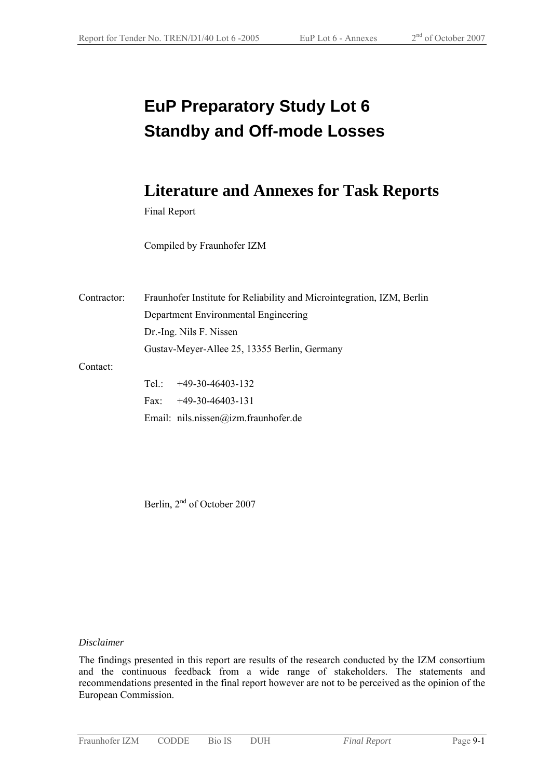# **EuP Preparatory Study Lot 6 Standby and Off-mode Losses**

## **Literature and Annexes for Task Reports**

Final Report

Compiled by Fraunhofer IZM

| Contractor: | Fraunhofer Institute for Reliability and Microintegration, IZM, Berlin |  |  |
|-------------|------------------------------------------------------------------------|--|--|
|             | Department Environmental Engineering                                   |  |  |
|             | Dr.-Ing. Nils F. Nissen                                                |  |  |
|             | Gustav-Meyer-Allee 25, 13355 Berlin, Germany                           |  |  |
| Contact:    |                                                                        |  |  |
|             | Tel.: $+49-30-46403-132$                                               |  |  |
|             | $+49-30-46403-131$<br>Fax:                                             |  |  |
|             | Email: nils.nissen@izm.fraunhofer.de                                   |  |  |

Berlin, 2<sup>nd</sup> of October 2007

#### *Disclaimer*

The findings presented in this report are results of the research conducted by the IZM consortium and the continuous feedback from a wide range of stakeholders. The statements and recommendations presented in the final report however are not to be perceived as the opinion of the European Commission.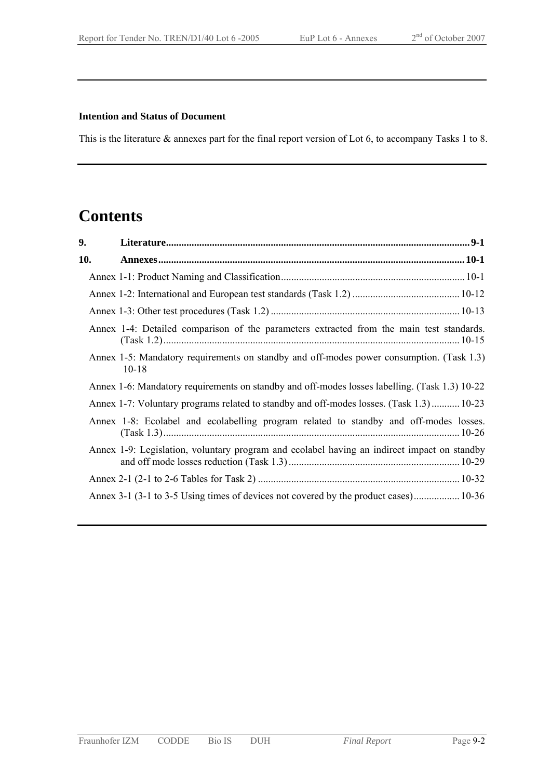#### **Intention and Status of Document**

This is the literature & annexes part for the final report version of Lot 6, to accompany Tasks 1 to 8.

### **Contents**

| 9.  |                                                                                                       |  |
|-----|-------------------------------------------------------------------------------------------------------|--|
| 10. |                                                                                                       |  |
|     |                                                                                                       |  |
|     |                                                                                                       |  |
|     |                                                                                                       |  |
|     | Annex 1-4: Detailed comparison of the parameters extracted from the main test standards.              |  |
|     | Annex 1-5: Mandatory requirements on standby and off-modes power consumption. (Task 1.3)<br>$10 - 18$ |  |
|     | Annex 1-6: Mandatory requirements on standby and off-modes losses labelling. (Task 1.3) 10-22         |  |
|     | Annex 1-7: Voluntary programs related to standby and off-modes losses. (Task 1.3) 10-23               |  |
|     | Annex 1-8: Ecolabel and ecolabelling program related to standby and off-modes losses.                 |  |
|     | Annex 1-9: Legislation, voluntary program and ecolabel having an indirect impact on standby           |  |
|     |                                                                                                       |  |
|     | Annex 3-1 (3-1 to 3-5 Using times of devices not covered by the product cases) 10-36                  |  |
|     |                                                                                                       |  |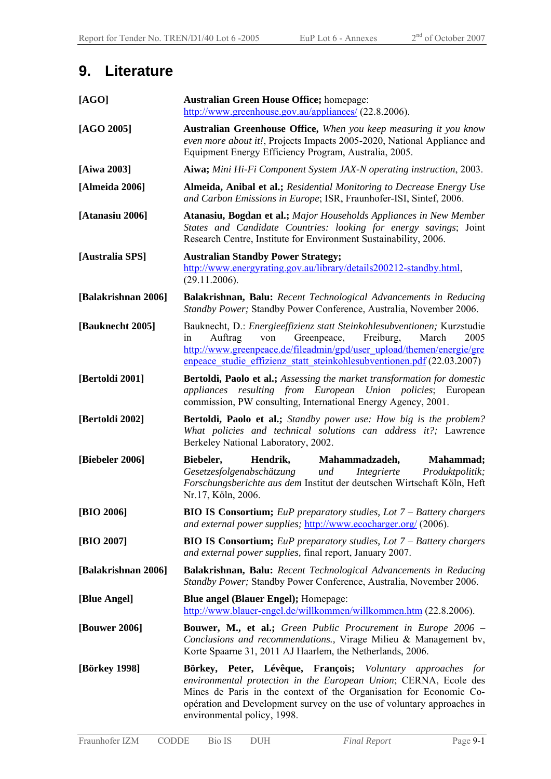## **9. Literature**

| [AGO]               | <b>Australian Green House Office; homepage:</b><br>http://www.greenhouse.gov.au/appliances/ (22.8.2006).                                                                                                                                                                                                      |  |  |
|---------------------|---------------------------------------------------------------------------------------------------------------------------------------------------------------------------------------------------------------------------------------------------------------------------------------------------------------|--|--|
| $[AGO 2005]$        | <b>Australian Greenhouse Office,</b> When you keep measuring it you know<br>even more about it!, Projects Impacts 2005-2020, National Appliance and<br>Equipment Energy Efficiency Program, Australia, 2005.                                                                                                  |  |  |
| [Aiwa 2003]         | <b>Aiwa;</b> Mini Hi-Fi Component System JAX-N operating instruction, 2003.                                                                                                                                                                                                                                   |  |  |
| [Almeida 2006]      | Almeida, Anibal et al.; Residential Monitoring to Decrease Energy Use<br>and Carbon Emissions in Europe; ISR, Fraunhofer-ISI, Sintef, 2006.                                                                                                                                                                   |  |  |
| [Atanasiu 2006]     | Atanasiu, Bogdan et al.; Major Households Appliances in New Member<br>States and Candidate Countries: looking for energy savings; Joint<br>Research Centre, Institute for Environment Sustainability, 2006.                                                                                                   |  |  |
| [Australia SPS]     | <b>Australian Standby Power Strategy;</b><br>http://www.energyrating.gov.au/library/details200212-standby.html,<br>(29.11.2006).                                                                                                                                                                              |  |  |
| [Balakrishnan 2006] | Balakrishnan, Balu: Recent Technological Advancements in Reducing<br>Standby Power; Standby Power Conference, Australia, November 2006.                                                                                                                                                                       |  |  |
| [Bauknecht 2005]    | Bauknecht, D.: Energieeffizienz statt Steinkohlesubventionen; Kurzstudie<br>Greenpeace, Freiburg,<br>Auftrag<br>March<br>2005<br>in<br>von<br>http://www.greenpeace.de/fileadmin/gpd/user_upload/themen/energie/gre<br>enpeace studie effizienz statt steinkohlesubventionen.pdf (22.03.2007)                 |  |  |
| [Bertoldi 2001]     | Bertoldi, Paolo et al.; Assessing the market transformation for domestic<br>appliances resulting from European Union policies; European<br>commission, PW consulting, International Energy Agency, 2001.                                                                                                      |  |  |
| [Bertoldi 2002]     | <b>Bertoldi, Paolo et al.;</b> Standby power use: How big is the problem?<br>What policies and technical solutions can address it?; Lawrence<br>Berkeley National Laboratory, 2002.                                                                                                                           |  |  |
| [Biebeler 2006]     | Biebeler,<br>Hendrik,<br>Mahammadzadeh,<br>Mahammad;<br>Integrierte<br>Gesetzesfolgenabschätzung<br>und<br>Produktpolitik;<br>Forschungsberichte aus dem Institut der deutschen Wirtschaft Köln, Heft<br>Nr.17, Köln, 2006.                                                                                   |  |  |
| [BIO 2006]          | <b>BIO IS Consortium;</b> EuP preparatory studies, Lot 7 - Battery chargers<br>and external power supplies; http://www.ecocharger.org/ (2006).                                                                                                                                                                |  |  |
| [BIO 2007]          | <b>BIO IS Consortium;</b> EuP preparatory studies, Lot $7$ – Battery chargers<br>and external power supplies, final report, January 2007.                                                                                                                                                                     |  |  |
| [Balakrishnan 2006] | <b>Balakrishnan, Balu:</b> Recent Technological Advancements in Reducing<br>Standby Power; Standby Power Conference, Australia, November 2006.                                                                                                                                                                |  |  |
| [Blue Angel]        | <b>Blue angel (Blauer Engel); Homepage:</b><br>http://www.blauer-engel.de/willkommen/willkommen.htm (22.8.2006).                                                                                                                                                                                              |  |  |
| [Bouwer 2006]       | <b>Bouwer, M., et al.;</b> Green Public Procurement in Europe 2006 –<br>Conclusions and recommendations., Virage Milieu & Management by,<br>Korte Spaarne 31, 2011 AJ Haarlem, the Netherlands, 2006.                                                                                                         |  |  |
| [Börkey 1998]       | Börkey, Peter, Lévêque, François; Voluntary approaches for<br>environmental protection in the European Union; CERNA, Ecole des<br>Mines de Paris in the context of the Organisation for Economic Co-<br>opération and Development survey on the use of voluntary approaches in<br>environmental policy, 1998. |  |  |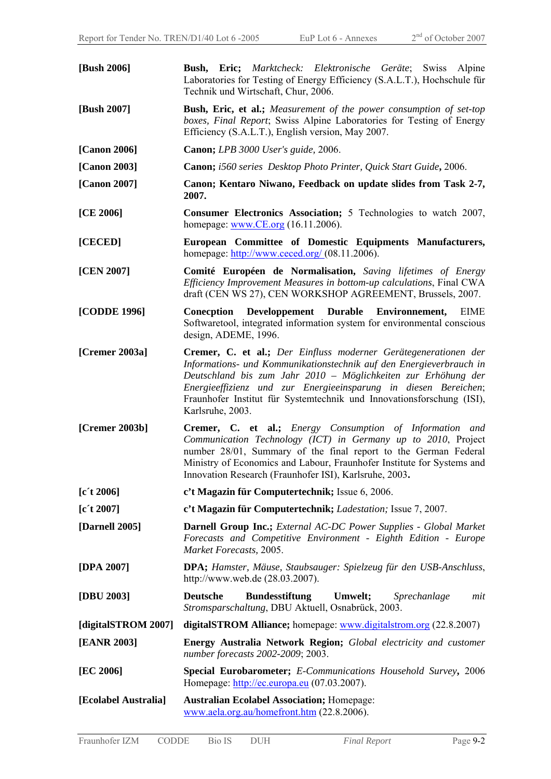| [Bush 2006]          | <b>Bush, Eric;</b> Marktcheck: Elektronische Geräte; Swiss Alpine<br>Laboratories for Testing of Energy Efficiency (S.A.L.T.), Hochschule für<br>Technik und Wirtschaft, Chur, 2006.                                                                                                                                                                                     |  |  |
|----------------------|--------------------------------------------------------------------------------------------------------------------------------------------------------------------------------------------------------------------------------------------------------------------------------------------------------------------------------------------------------------------------|--|--|
| [Bush 2007]          | <b>Bush, Eric, et al.;</b> Measurement of the power consumption of set-top<br>boxes, Final Report; Swiss Alpine Laboratories for Testing of Energy<br>Efficiency (S.A.L.T.), English version, May 2007.                                                                                                                                                                  |  |  |
| [Canon 2006]         | <b>Canon;</b> LPB 3000 User's guide, 2006.                                                                                                                                                                                                                                                                                                                               |  |  |
| [Canon 2003]         | Canon; i560 series Desktop Photo Printer, Quick Start Guide, 2006.                                                                                                                                                                                                                                                                                                       |  |  |
| [Canon 2007]         | Canon; Kentaro Niwano, Feedback on update slides from Task 2-7,<br>2007.                                                                                                                                                                                                                                                                                                 |  |  |
| [CE 2006]            | <b>Consumer Electronics Association;</b> 5 Technologies to watch 2007,<br>homepage: $www.CE.org (16.11.2006)$ .                                                                                                                                                                                                                                                          |  |  |
| [CECED]              | European Committee of Domestic Equipments Manufacturers,<br>homepage: $\frac{http://www.eceed.org/(08.11.2006))}{http://www.eeced.org/(08.11.2006))}$                                                                                                                                                                                                                    |  |  |
| [CEN 2007]           | Comité Européen de Normalisation, Saving lifetimes of Energy<br>Efficiency Improvement Measures in bottom-up calculations, Final CWA<br>draft (CEN WS 27), CEN WORKSHOP AGREEMENT, Brussels, 2007.                                                                                                                                                                       |  |  |
| [CODDE 1996]         | Conecption Developpement Durable Environmement,<br>EIME<br>Softwaretool, integrated information system for environmental conscious<br>design, ADEME, 1996.                                                                                                                                                                                                               |  |  |
| [Cremer 2003a]       | Cremer, C. et al.; Der Einfluss moderner Gerätegenerationen der<br>Informations- und Kommunikationstechnik auf den Energieverbrauch in<br>Deutschland bis zum Jahr 2010 - Möglichkeiten zur Erhöhung der<br>Energieeffizienz und zur Energieeinsparung in diesen Bereichen;<br>Fraunhofer Institut für Systemtechnik und Innovationsforschung (ISI),<br>Karlsruhe, 2003. |  |  |
| [Cremer 2003b]       | Cremer, C. et al.; Energy Consumption of Information and<br>Communication Technology (ICT) in Germany up to 2010, Project<br>number 28/01, Summary of the final report to the German Federal<br>Ministry of Economics and Labour, Fraunhofer Institute for Systems and<br>Innovation Research (Fraunhofer ISI), Karlsruhe, 2003.                                         |  |  |
| [c't 2006]           | c't Magazin für Computertechnik; Issue 6, 2006.                                                                                                                                                                                                                                                                                                                          |  |  |
| [c't 2007]           | c't Magazin für Computertechnik; Ladestation; Issue 7, 2007.                                                                                                                                                                                                                                                                                                             |  |  |
| [Darnell 2005]       | <b>Darnell Group Inc.;</b> External AC-DC Power Supplies - Global Market<br>Forecasts and Competitive Environment - Eighth Edition - Europe<br>Market Forecasts, 2005.                                                                                                                                                                                                   |  |  |
| [DPA 2007]           | <b>DPA</b> ; Hamster, Mäuse, Staubsauger: Spielzeug für den USB-Anschluss,<br>http://www.web.de $(28.03.2007)$ .                                                                                                                                                                                                                                                         |  |  |
| [DBU 2003]           | <b>Deutsche</b><br><b>Bundesstiftung</b><br>Umwelt;<br>Sprechanlage<br>mit<br>Stromsparschaltung, DBU Aktuell, Osnabrück, 2003.                                                                                                                                                                                                                                          |  |  |
| [digitalSTROM 2007]  | digitalSTROM Alliance; homepage: www.digitalstrom.org (22.8.2007)                                                                                                                                                                                                                                                                                                        |  |  |
| [EANR 2003]          | Energy Australia Network Region; Global electricity and customer<br>number forecasts 2002-2009; 2003.                                                                                                                                                                                                                                                                    |  |  |
| [EC 2006]            | Special Eurobarometer; E-Communications Household Survey, 2006<br>Homepage: http://ec.europa.eu (07.03.2007).                                                                                                                                                                                                                                                            |  |  |
| [Ecolabel Australia] | <b>Australian Ecolabel Association; Homepage:</b><br>www.aela.org.au/homefront.htm (22.8.2006).                                                                                                                                                                                                                                                                          |  |  |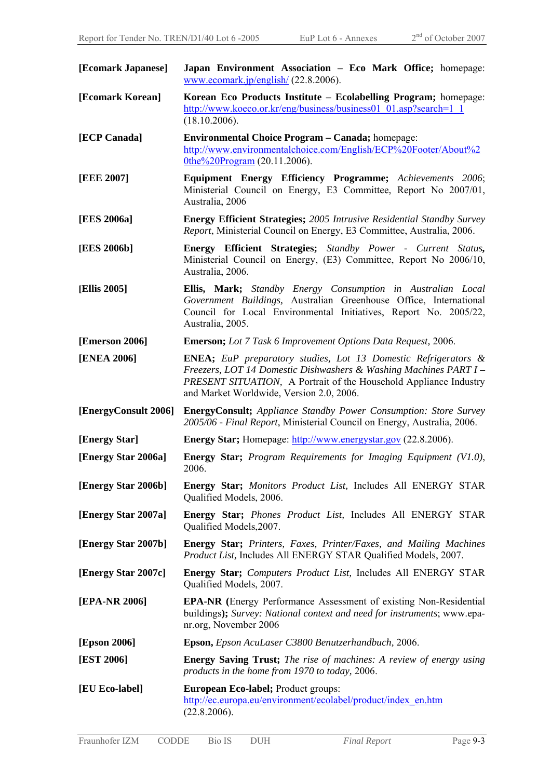| [Ecomark Japanese]   | Japan Environment Association - Eco Mark Office; homepage:<br>www.ecomark.jp/english/ $(22.8.2006)$ .                                                                                                                                                              |  |  |
|----------------------|--------------------------------------------------------------------------------------------------------------------------------------------------------------------------------------------------------------------------------------------------------------------|--|--|
| [Ecomark Korean]     | Korean Eco Products Institute - Ecolabelling Program; homepage:<br>http://www.koeco.or.kr/eng/business/business01 01.asp?search=1 1<br>(18.10.2006).                                                                                                               |  |  |
| [ECP Canada]         | <b>Environmental Choice Program – Canada;</b> homepage:<br>http://www.environmentalchoice.com/English/ECP%20Footer/About%2<br>$0$ the%20Program $(20.11.2006)$ .                                                                                                   |  |  |
| [EEE 2007]           | Equipment Energy Efficiency Programme; Achievements 2006;<br>Ministerial Council on Energy, E3 Committee, Report No 2007/01,<br>Australia, 2006                                                                                                                    |  |  |
| [EES 2006a]          | <b>Energy Efficient Strategies; 2005 Intrusive Residential Standby Survey</b><br>Report, Ministerial Council on Energy, E3 Committee, Australia, 2006.                                                                                                             |  |  |
| [EES 2006b]          | Energy Efficient Strategies; Standby Power - Current Status,<br>Ministerial Council on Energy, (E3) Committee, Report No 2006/10,<br>Australia, 2006.                                                                                                              |  |  |
| [Ellis 2005]         | Ellis, Mark; Standby Energy Consumption in Australian Local<br>Government Buildings, Australian Greenhouse Office, International<br>Council for Local Environmental Initiatives, Report No. 2005/22,<br>Australia, 2005.                                           |  |  |
| [Emerson 2006]       | <b>Emerson;</b> Lot 7 Task 6 Improvement Options Data Request, 2006.                                                                                                                                                                                               |  |  |
| [ENEA 2006]          | <b>ENEA;</b> EuP preparatory studies, Lot 13 Domestic Refrigerators &<br>Freezers, LOT 14 Domestic Dishwashers & Washing Machines PART I -<br><b>PRESENT SITUATION, A Portrait of the Household Appliance Industry</b><br>and Market Worldwide, Version 2.0, 2006. |  |  |
| [EnergyConsult 2006] | <b>EnergyConsult;</b> Appliance Standby Power Consumption: Store Survey<br>2005/06 - Final Report, Ministerial Council on Energy, Australia, 2006.                                                                                                                 |  |  |
| [Energy Star]        | <b>Energy Star;</b> Homepage: http://www.energystar.gov (22.8.2006).                                                                                                                                                                                               |  |  |
| [Energy Star 2006a]  | <b>Energy Star;</b> Program Requirements for Imaging Equipment (V1.0),<br>2006.                                                                                                                                                                                    |  |  |
| [Energy Star 2006b]  | <b>Energy Star;</b> Monitors Product List, Includes All ENERGY STAR<br>Qualified Models, 2006.                                                                                                                                                                     |  |  |
| [Energy Star 2007a]  | <b>Energy Star;</b> Phones Product List, Includes All ENERGY STAR<br>Qualified Models, 2007.                                                                                                                                                                       |  |  |
| [Energy Star 2007b]  | Energy Star; Printers, Faxes, Printer/Faxes, and Mailing Machines<br>Product List, Includes All ENERGY STAR Qualified Models, 2007.                                                                                                                                |  |  |
| [Energy Star 2007c]  | <b>Energy Star;</b> Computers Product List, Includes All ENERGY STAR<br>Qualified Models, 2007.                                                                                                                                                                    |  |  |
| [EPA-NR 2006]        | <b>EPA-NR</b> (Energy Performance Assessment of existing Non-Residential<br>buildings); Survey: National context and need for instruments; www.epa-<br>nr.org, November 2006                                                                                       |  |  |
| [Epson 2006]         | Epson, Epson AcuLaser C3800 Benutzerhandbuch, 2006.                                                                                                                                                                                                                |  |  |
| [EST 2006]           | <b>Energy Saving Trust;</b> The rise of machines: A review of energy using<br>products in the home from 1970 to today, 2006.                                                                                                                                       |  |  |
| [EU Eco-label]       | <b>European Eco-label; Product groups:</b><br>http://ec.europa.eu/environment/ecolabel/product/index en.htm<br>(22.8.2006).                                                                                                                                        |  |  |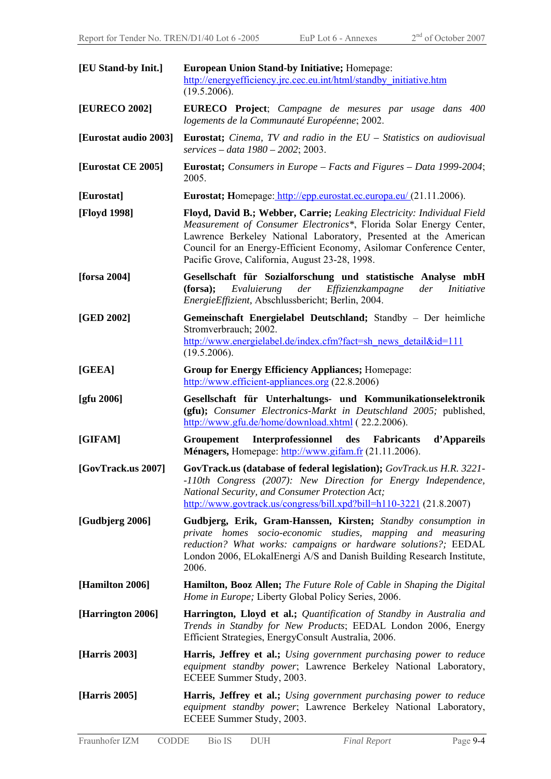| [EU Stand-by Init.]             | <b>European Union Stand-by Initiative; Homepage:</b><br>http://energyefficiency.jrc.cec.eu.int/html/standby initiative.htm<br>(19.5.2006).                                                                                                                                                                                                 |  |  |
|---------------------------------|--------------------------------------------------------------------------------------------------------------------------------------------------------------------------------------------------------------------------------------------------------------------------------------------------------------------------------------------|--|--|
| [EURECO 2002]                   | <b>EURECO</b> Project; Campagne de mesures par usage dans 400<br>logements de la Communauté Européenne; 2002.                                                                                                                                                                                                                              |  |  |
| [Eurostat audio 2003]           | <b>Eurostat;</b> Cinema, TV and radio in the $EU$ – Statistics on audiovisual<br>services – data $1980 - 2002$ ; 2003.                                                                                                                                                                                                                     |  |  |
| [Eurostat CE 2005]              | <b>Eurostat;</b> Consumers in Europe – Facts and Figures – Data 1999-2004;<br>2005.                                                                                                                                                                                                                                                        |  |  |
| [Eurostat]                      | Eurostat; Homepage: http://epp.eurostat.ec.europa.eu/ (21.11.2006).                                                                                                                                                                                                                                                                        |  |  |
| [Floyd 1998]                    | Floyd, David B.; Webber, Carrie; Leaking Electricity: Individual Field<br>Measurement of Consumer Electronics*, Florida Solar Energy Center,<br>Lawrence Berkeley National Laboratory, Presented at the American<br>Council for an Energy-Efficient Economy, Asilomar Conference Center,<br>Pacific Grove, California, August 23-28, 1998. |  |  |
| [forsa 2004]                    | Gesellschaft für Sozialforschung und statistische Analyse mbH<br>(forsa);<br>Evaluierung<br>der<br>Effizienzkampagne<br>der<br><i>Initiative</i><br>EnergieEffizient, Abschlussbericht; Berlin, 2004.                                                                                                                                      |  |  |
| [GED 2002]                      | Gemeinschaft Energielabel Deutschland; Standby - Der heimliche<br>Stromverbrauch; 2002.<br>http://www.energielabel.de/index.cfm?fact=sh_news_detail&id=111<br>(19.5.2006).                                                                                                                                                                 |  |  |
| [GEEA]                          | <b>Group for Energy Efficiency Appliances; Homepage:</b><br>http://www.efficient-appliances.org (22.8.2006)                                                                                                                                                                                                                                |  |  |
|                                 | Gesellschaft für Unterhaltungs- und Kommunikationselektronik<br>(gfu); Consumer Electronics-Markt in Deutschland 2005; published,<br>http://www.gfu.de/home/download.xhtml (22.2.2006).                                                                                                                                                    |  |  |
| $\left[\text{gfu } 2006\right]$ |                                                                                                                                                                                                                                                                                                                                            |  |  |
| [GIFAM]                         | Interprofessionnel<br>des Fabricants<br>d'Appareils<br>Groupement<br>Ménagers, Homepage: http://www.gifam.fr (21.11.2006).                                                                                                                                                                                                                 |  |  |
| [GovTrack.us 2007]              | GovTrack.us (database of federal legislation); GovTrack.us H.R. 3221-<br>-110th Congress (2007): New Direction for Energy Independence,<br>National Security, and Consumer Protection Act;<br>$\frac{http://www.govtrack.us/congress/bill.xpd?bill=h110-3221}{21.8.2007}$                                                                  |  |  |
| [Gudbjerg 2006]                 | Gudbjerg, Erik, Gram-Hanssen, Kirsten; Standby consumption in<br>private homes socio-economic studies, mapping and measuring<br>reduction? What works: campaigns or hardware solutions?; EEDAL<br>London 2006, ELokalEnergi A/S and Danish Building Research Institute,<br>2006.                                                           |  |  |
| [Hamilton 2006]                 | <b>Hamilton, Booz Allen;</b> The Future Role of Cable in Shaping the Digital<br>Home in Europe; Liberty Global Policy Series, 2006.                                                                                                                                                                                                        |  |  |
| [Harrington 2006]               | Harrington, Lloyd et al.; Quantification of Standby in Australia and<br>Trends in Standby for New Products; EEDAL London 2006, Energy<br>Efficient Strategies, EnergyConsult Australia, 2006.                                                                                                                                              |  |  |
| [Harris 2003]                   | <b>Harris, Jeffrey et al.;</b> Using government purchasing power to reduce<br>equipment standby power; Lawrence Berkeley National Laboratory,<br>ECEEE Summer Study, 2003.                                                                                                                                                                 |  |  |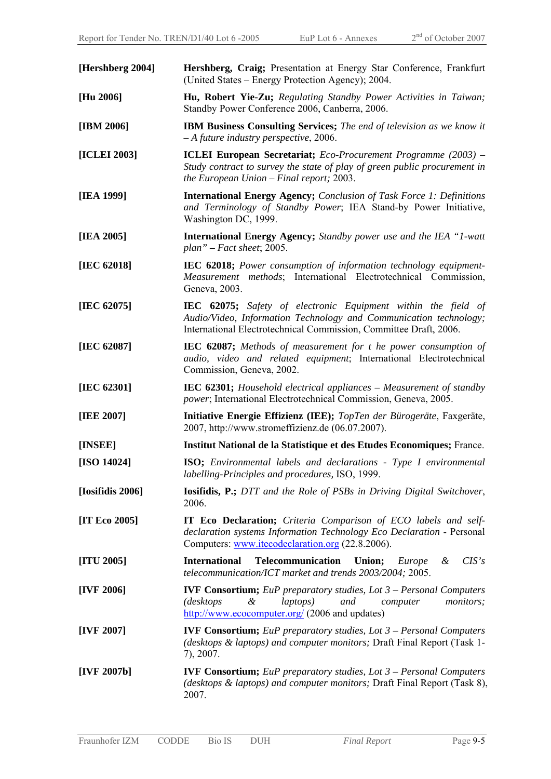| [Hershberg 2004] | Hershberg, Craig; Presentation at Energy Star Conference, Frankfurt<br>(United States – Energy Protection Agency); 2004.                                                                                |  |  |
|------------------|---------------------------------------------------------------------------------------------------------------------------------------------------------------------------------------------------------|--|--|
| [Hu 2006]        | Hu, Robert Yie-Zu; Regulating Standby Power Activities in Taiwan;<br>Standby Power Conference 2006, Canberra, 2006.                                                                                     |  |  |
| [IBM 2006]       | <b>IBM Business Consulting Services;</b> The end of television as we know it<br>$-A$ future industry perspective, 2006.                                                                                 |  |  |
| [ICLEI 2003]     | <b>ICLEI European Secretariat;</b> Eco-Procurement Programme (2003) –<br>Study contract to survey the state of play of green public procurement in<br>the European Union $-$ Final report; 2003.        |  |  |
| [IEA 1999]       | <b>International Energy Agency; Conclusion of Task Force 1: Definitions</b><br>and Terminology of Standby Power; IEA Stand-by Power Initiative,<br>Washington DC, 1999.                                 |  |  |
| [IEA 2005]       | <b>International Energy Agency;</b> Standby power use and the IEA "1-watt<br>plan" – Fact sheet; 2005.                                                                                                  |  |  |
| [IEC 62018]      | IEC 62018; Power consumption of information technology equipment-<br>Measurement methods; International Electrotechnical Commission,<br>Geneva, 2003.                                                   |  |  |
| [IEC 62075]      | IEC 62075; Safety of electronic Equipment within the field of<br>Audio/Video, Information Technology and Communication technology;<br>International Electrotechnical Commission, Committee Draft, 2006. |  |  |
| [IEC 62087]      | IEC 62087; Methods of measurement for t he power consumption of<br>audio, video and related equipment; International Electrotechnical<br>Commission, Geneva, 2002.                                      |  |  |
| [IEC $62301$ ]   | <b>IEC 62301;</b> Household electrical appliances – Measurement of standby<br>power; International Electrotechnical Commission, Geneva, 2005.                                                           |  |  |
| [IEE 2007]       | Initiative Energie Effizienz (IEE); TopTen der Bürogeräte, Faxgeräte,<br>2007, http://www.stromeffizienz.de (06.07.2007).                                                                               |  |  |
| [INSEE]          | Institut National de la Statistique et des Etudes Economiques; France.                                                                                                                                  |  |  |
| [ISO 14024]      | <b>ISO</b> ; Environmental labels and declarations - Type I environmental<br>labelling-Principles and procedures, ISO, 1999.                                                                            |  |  |
| [Iosifidis 2006] | <b>Iosifidis, P.; DTT</b> and the Role of PSBs in Driving Digital Switchover,<br>2006.                                                                                                                  |  |  |
| [IT Eco 2005]    | <b>IT Eco Declaration;</b> Criteria Comparison of ECO labels and self-<br>declaration systems Information Technology Eco Declaration - Personal<br>Computers: www.itecodeclaration.org (22.8.2006).     |  |  |
| [ITU 2005]       | <b>International</b><br>Telecommunication<br>CIS's<br>Union;<br>Europe<br>&<br>telecommunication/ICT market and trends 2003/2004; 2005.                                                                 |  |  |
| [IVF 2006]       | <b>IVF Consortium;</b> EuP preparatory studies, Lot $3$ – Personal Computers<br>monitors;<br><i>(desktops</i><br>&<br>laptops)<br>and<br>computer<br>http://www.ecocomputer.org/ (2006 and updates)     |  |  |
| [IVF 2007]       | <b>IVF Consortium;</b> EuP preparatory studies, Lot $3$ – Personal Computers<br>(desktops & laptops) and computer monitors; Draft Final Report (Task 1-<br>7), 2007.                                    |  |  |
| [IVF $2007b$ ]   | <b>IVF Consortium;</b> EuP preparatory studies, Lot $3$ – Personal Computers<br>(desktops & laptops) and computer monitors; Draft Final Report (Task 8),<br>2007.                                       |  |  |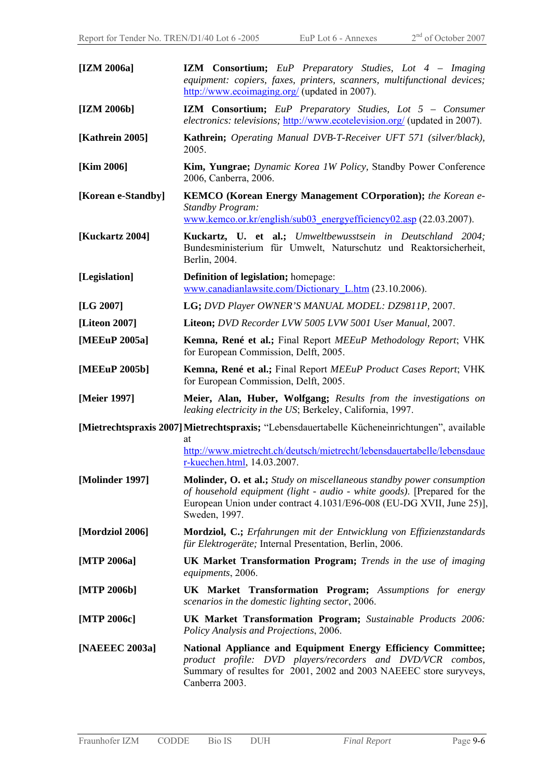| [IZM 2006a]        | <b>IZM</b> Consortium; EuP Preparatory Studies, Lot 4 – Imaging<br>equipment: copiers, faxes, printers, scanners, multifunctional devices;<br>http://www.ecoimaging.org/ (updated in 2007).                                                      |  |  |
|--------------------|--------------------------------------------------------------------------------------------------------------------------------------------------------------------------------------------------------------------------------------------------|--|--|
| [IZM 2006b]        | <b>IZM Consortium;</b> EuP Preparatory Studies, Lot 5 – Consumer<br><i>electronics: televisions;</i> http://www.ecotelevision.org/ (updated in 2007).                                                                                            |  |  |
| [Kathrein 2005]    | Kathrein; Operating Manual DVB-T-Receiver UFT 571 (silver/black),<br>2005.                                                                                                                                                                       |  |  |
| [Kim 2006]         | Kim, Yungrae; Dynamic Korea 1W Policy, Standby Power Conference<br>2006, Canberra, 2006.                                                                                                                                                         |  |  |
| [Korean e-Standby] | <b>KEMCO</b> (Korean Energy Management COrporation); the Korean e-<br>Standby Program:<br>www.kemco.or.kr/english/sub03 energy efficiency 02.asp (22.03.2007).                                                                                   |  |  |
| [Kuckartz 2004]    | Kuckartz, U. et al.; Umweltbewusstsein in Deutschland 2004;<br>Bundesministerium für Umwelt, Naturschutz und Reaktorsicherheit,<br>Berlin, 2004.                                                                                                 |  |  |
| [Legislation]      | <b>Definition of legislation;</b> homepage:<br>www.canadianlawsite.com/Dictionary L.htm (23.10.2006).                                                                                                                                            |  |  |
| [LG 2007]          | LG; DVD Player OWNER'S MANUAL MODEL: DZ9811P, 2007.                                                                                                                                                                                              |  |  |
| [Liteon 2007]      | Liteon; DVD Recorder LVW 5005 LVW 5001 User Manual, 2007.                                                                                                                                                                                        |  |  |
| [MEEuP 2005a]      | Kemna, René et al.; Final Report MEEuP Methodology Report; VHK<br>for European Commission, Delft, 2005.                                                                                                                                          |  |  |
| [MEEuP 2005b]      | Kemna, René et al.; Final Report MEEuP Product Cases Report; VHK<br>for European Commission, Delft, 2005.                                                                                                                                        |  |  |
| [Meier 1997]       | Meier, Alan, Huber, Wolfgang; Results from the investigations on<br>leaking electricity in the US; Berkeley, California, 1997.                                                                                                                   |  |  |
|                    | [Mietrechtspraxis 2007] Mietrechtspraxis; "Lebensdauertabelle Kücheneinrichtungen", available                                                                                                                                                    |  |  |
|                    | at<br>http://www.mietrecht.ch/deutsch/mietrecht/lebensdauertabelle/lebensdaue<br>r-kuechen.html, 14.03.2007.                                                                                                                                     |  |  |
| [Molinder 1997]    | <b>Molinder, O. et al.;</b> Study on miscellaneous standby power consumption<br>of household equipment (light - audio - white goods). [Prepared for the<br>European Union under contract 4.1031/E96-008 (EU-DG XVII, June 25)],<br>Sweden, 1997. |  |  |
| [Mordziol 2006]    | Mordziol, C.; Erfahrungen mit der Entwicklung von Effizienzstandards<br>für Elektrogeräte; Internal Presentation, Berlin, 2006.                                                                                                                  |  |  |
| [MTP 2006a]        | <b>UK Market Transformation Program;</b> Trends in the use of imaging<br>equipments, 2006.                                                                                                                                                       |  |  |
| [MTP 2006b]        | <b>UK Market Transformation Program;</b> Assumptions for energy<br>scenarios in the domestic lighting sector, 2006.                                                                                                                              |  |  |
| [MTP 2006c]        | <b>UK Market Transformation Program;</b> Sustainable Products 2006:<br>Policy Analysis and Projections, 2006.                                                                                                                                    |  |  |
| [NAEEEC 2003a]     | National Appliance and Equipment Energy Efficiency Committee;<br>product profile: DVD players/recorders and DVD/VCR combos,<br>Summary of resultes for 2001, 2002 and 2003 NAEEEC store suryveys,<br>Canberra 2003.                              |  |  |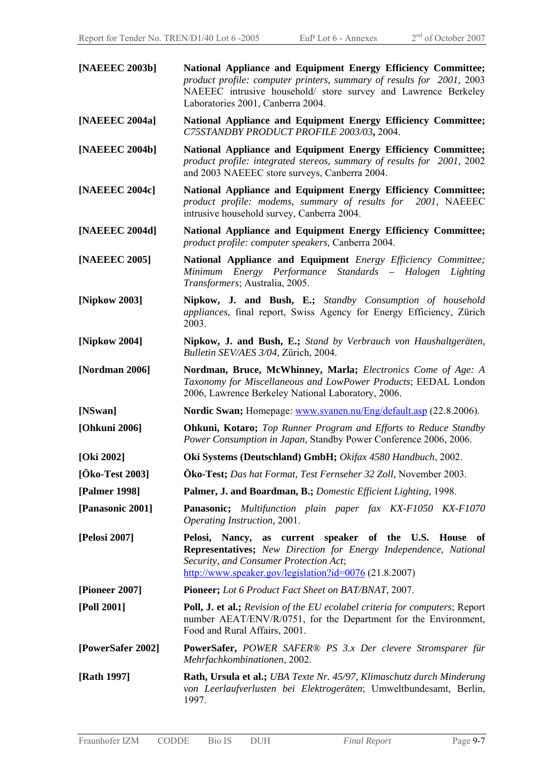| [NAEEEC 2003b]    | National Appliance and Equipment Energy Efficiency Committee;<br>product profile: computer printers, summary of results for 2001, 2003<br>NAEEEC intrusive household/ store survey and Lawrence Berkeley<br>Laboratories 2001, Canberra 2004.             |  |  |
|-------------------|-----------------------------------------------------------------------------------------------------------------------------------------------------------------------------------------------------------------------------------------------------------|--|--|
| [NAEEEC 2004a]    | National Appliance and Equipment Energy Efficiency Committee;<br>C75STANDBY PRODUCT PROFILE 2003/03, 2004.                                                                                                                                                |  |  |
| [NAEEEC 2004b]    | National Appliance and Equipment Energy Efficiency Committee;<br>product profile: integrated stereos, summary of results for 2001, 2002<br>and 2003 NAEEEC store surveys, Canberra 2004.                                                                  |  |  |
| [NAEEEC 2004c]    | National Appliance and Equipment Energy Efficiency Committee;<br>product profile: modems, summary of results for 2001, NAEEEC<br>intrusive household survey, Canberra 2004.                                                                               |  |  |
| [NAEEEC 2004d]    | National Appliance and Equipment Energy Efficiency Committee;<br>product profile: computer speakers, Canberra 2004.                                                                                                                                       |  |  |
| [NAEEEC 2005]     | National Appliance and Equipment Energy Efficiency Committee;<br>Energy Performance Standards - Halogen Lighting<br>Minimum<br>Transformers; Australia, 2005.                                                                                             |  |  |
| [Nipkow 2003]     | Nipkow, J. and Bush, E.; Standby Consumption of household<br>appliances, final report, Swiss Agency for Energy Efficiency, Zürich<br>2003.                                                                                                                |  |  |
| [Nipkow 2004]     | Nipkow, J. and Bush, E.; Stand by Verbrauch von Haushaltgeräten,<br>Bulletin SEV/AES 3/04, Zürich, 2004.                                                                                                                                                  |  |  |
| [Nordman 2006]    | Nordman, Bruce, McWhinney, Marla; Electronics Come of Age: A<br>Taxonomy for Miscellaneous and LowPower Products; EEDAL London<br>2006, Lawrence Berkeley National Laboratory, 2006.                                                                      |  |  |
| [NSwan]           | Nordic Swan; Homepage: www.svanen.nu/Eng/default.asp (22.8.2006).                                                                                                                                                                                         |  |  |
| [Ohkuni 2006]     | <b>Ohkuni, Kotaro;</b> Top Runner Program and Efforts to Reduce Standby<br>Power Consumption in Japan, Standby Power Conference 2006, 2006.                                                                                                               |  |  |
| [Oki 2002]        | Oki Systems (Deutschland) GmbH; Okifax 4580 Handbuch, 2002.                                                                                                                                                                                               |  |  |
| [Öko-Test 2003]   | <b>Öko-Test;</b> Das hat Format, Test Fernseher 32 Zoll, November 2003.                                                                                                                                                                                   |  |  |
| [Palmer 1998]     | Palmer, J. and Boardman, B.; Domestic Efficient Lighting, 1998.                                                                                                                                                                                           |  |  |
| [Panasonic 2001]  | <b>Panasonic;</b> Multifunction plain paper fax KX-F1050 KX-F1070<br>Operating Instruction, 2001.                                                                                                                                                         |  |  |
| [Pelosi 2007]     | Pelosi, Nancy, as current speaker of the U.S. House<br>of<br><b>Representatives;</b> New Direction for Energy Independence, National<br>Security, and Consumer Protection Act;<br>$\frac{\text{http://www.speaker.gov/legislation?id=0076}}{0.21.8.2007}$ |  |  |
| [Pioneer 2007]    | Pioneer; Lot 6 Product Fact Sheet on BAT/BNAT, 2007.                                                                                                                                                                                                      |  |  |
| [Poll 2001]       | <b>Poll, J. et al.;</b> Revision of the EU ecolabel criteria for computers; Report<br>number AEAT/ENV/R/0751, for the Department for the Environment,<br>Food and Rural Affairs, 2001.                                                                    |  |  |
| [PowerSafer 2002] | <b>PowerSafer, POWER SAFER® PS 3.x Der clevere Stromsparer für</b><br>Mehrfachkombinationen, 2002.                                                                                                                                                        |  |  |
| [Rath 1997]       | <b>Rath, Ursula et al.; UBA</b> Texte Nr. 45/97, Klimaschutz durch Minderung<br>von Leerlaufverlusten bei Elektrogeräten; Umweltbundesamt, Berlin,<br>1997.                                                                                               |  |  |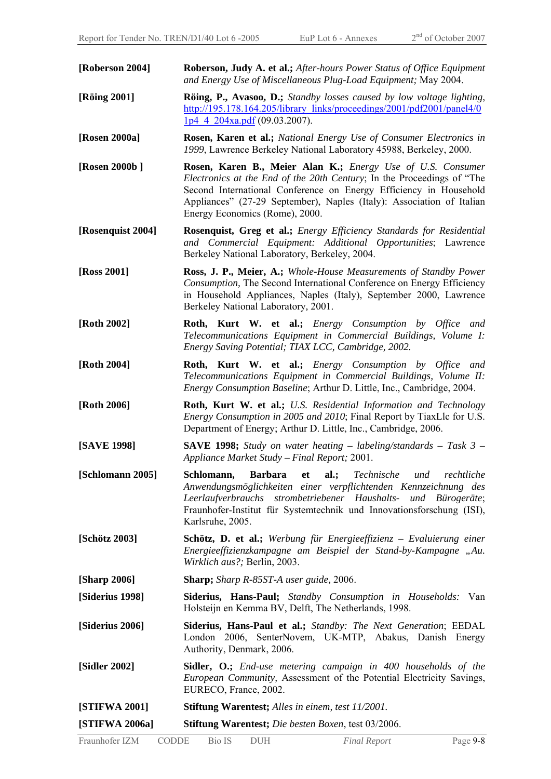| [Roberson 2004]   | Roberson, Judy A. et al.; After-hours Power Status of Office Equipment<br>and Energy Use of Miscellaneous Plug-Load Equipment; May 2004.                                                                                                                                                                              |  |  |
|-------------------|-----------------------------------------------------------------------------------------------------------------------------------------------------------------------------------------------------------------------------------------------------------------------------------------------------------------------|--|--|
| [Röing 2001]      | <b>Röing, P., Avasoo, D.;</b> Standby losses caused by low voltage lighting,<br>http://195.178.164.205/library_links/proceedings/2001/pdf2001/panel4/0<br>$1p4$ 4 204xa.pdf (09.03.2007).                                                                                                                             |  |  |
| [Rosen 2000a]     | Rosen, Karen et al.; National Energy Use of Consumer Electronics in<br>1999, Lawrence Berkeley National Laboratory 45988, Berkeley, 2000.                                                                                                                                                                             |  |  |
| [Rosen 2000b]     | Rosen, Karen B., Meier Alan K.; Energy Use of U.S. Consumer<br>Electronics at the End of the 20th Century; In the Proceedings of "The<br>Second International Conference on Energy Efficiency in Household<br>Appliances" (27-29 September), Naples (Italy): Association of Italian<br>Energy Economics (Rome), 2000. |  |  |
| [Rosenquist 2004] | Rosenquist, Greg et al.; Energy Efficiency Standards for Residential<br>and Commercial Equipment: Additional Opportunities; Lawrence<br>Berkeley National Laboratory, Berkeley, 2004.                                                                                                                                 |  |  |
| [Ross 2001]       | Ross, J. P., Meier, A.; Whole-House Measurements of Standby Power<br>Consumption, The Second International Conference on Energy Efficiency<br>in Household Appliances, Naples (Italy), September 2000, Lawrence<br>Berkeley National Laboratory, 2001.                                                                |  |  |
| [Roth 2002]       | Roth, Kurt W. et al.; Energy Consumption by Office and<br>Telecommunications Equipment in Commercial Buildings, Volume I:<br>Energy Saving Potential; TIAX LCC, Cambridge, 2002.                                                                                                                                      |  |  |
| [Roth 2004]       | Roth, Kurt W. et al.; Energy Consumption by Office and<br>Telecommunications Equipment in Commercial Buildings, Volume II:<br><i>Energy Consumption Baseline</i> ; Arthur D. Little, Inc., Cambridge, 2004.                                                                                                           |  |  |
| [Roth 2006]       | Roth, Kurt W. et al.; U.S. Residential Information and Technology<br>Energy Consumption in 2005 and 2010; Final Report by TiaxLlc for U.S.<br>Department of Energy; Arthur D. Little, Inc., Cambridge, 2006.                                                                                                          |  |  |
| [SAVE 1998]       | <b>SAVE 1998;</b> Study on water heating – labeling/standards – Task $3$ –<br>Appliance Market Study – Final Report; 2001.                                                                                                                                                                                            |  |  |
| [Schlomann 2005]  | Schlomann, Barbara et al.; Technische und rechtliche<br>Anwendungsmöglichkeiten einer verpflichtenden Kennzeichnung des<br>Leerlaufverbrauchs strombetriebener Haushalts- und Bürogeräte;<br>Fraunhofer-Institut für Systemtechnik und Innovationsforschung (ISI),<br>Karlsruhe, 2005.                                |  |  |
| [Schötz 2003]     | Schötz, D. et al.; Werbung für Energieeffizienz – Evaluierung einer<br>Energieeffizienzkampagne am Beispiel der Stand-by-Kampagne "Au.<br>Wirklich aus?; Berlin, 2003.                                                                                                                                                |  |  |
| [Sharp 2006]      | <b>Sharp;</b> Sharp R-85ST-A user guide, 2006.                                                                                                                                                                                                                                                                        |  |  |
| [Siderius 1998]   | Siderius, Hans-Paul; Standby Consumption in Households: Van<br>Holsteijn en Kemma BV, Delft, The Netherlands, 1998.                                                                                                                                                                                                   |  |  |
| [Siderius 2006]   | Siderius, Hans-Paul et al.; Standby: The Next Generation; EEDAL<br>London 2006, SenterNovem, UK-MTP, Abakus, Danish Energy<br>Authority, Denmark, 2006.                                                                                                                                                               |  |  |
| [Sidler 2002]     | <b>Sidler, O.;</b> End-use metering campaign in 400 households of the<br>European Community, Assessment of the Potential Electricity Savings,<br>EURECO, France, 2002.                                                                                                                                                |  |  |
| [STIFWA 2001]     | <b>Stiftung Warentest;</b> Alles in einem, test 11/2001.                                                                                                                                                                                                                                                              |  |  |
| [STIFWA 2006a]    | <b>Stiftung Warentest;</b> Die besten Boxen, test 03/2006.                                                                                                                                                                                                                                                            |  |  |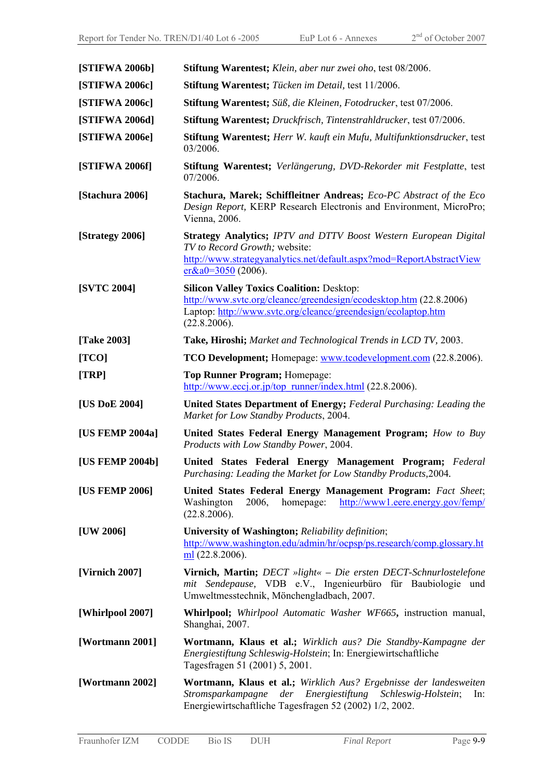| [STIFWA 2006b]     | <b>Stiftung Warentest;</b> Klein, aber nur zwei oho, test 08/2006.                                                                                                                                         |  |  |
|--------------------|------------------------------------------------------------------------------------------------------------------------------------------------------------------------------------------------------------|--|--|
| [STIFWA 2006c]     | <b>Stiftung Warentest;</b> Tücken im Detail, test 11/2006.                                                                                                                                                 |  |  |
| [STIFWA 2006c]     | Stiftung Warentest; Süß, die Kleinen, Fotodrucker, test 07/2006.                                                                                                                                           |  |  |
| [STIFWA 2006d]     | Stiftung Warentest; Druckfrisch, Tintenstrahldrucker, test 07/2006.                                                                                                                                        |  |  |
| [STIFWA 2006e]     | Stiftung Warentest; Herr W. kauft ein Mufu, Multifunktionsdrucker, test<br>03/2006.                                                                                                                        |  |  |
| [STIFWA 2006f]     | Stiftung Warentest; Verlängerung, DVD-Rekorder mit Festplatte, test<br>07/2006.                                                                                                                            |  |  |
| [Stachura 2006]    | Stachura, Marek; Schiffleitner Andreas; Eco-PC Abstract of the Eco<br>Design Report, KERP Research Electronis and Environment, MicroPro;<br>Vienna, 2006.                                                  |  |  |
| [Strategy 2006]    | <b>Strategy Analytics; IPTV and DTTV Boost Western European Digital</b><br>TV to Record Growth; website:<br>http://www.strategyanalytics.net/default.aspx?mod=ReportAbstractView<br>$er&a0=3050(2006).$    |  |  |
| <b>[SVTC 2004]</b> | <b>Silicon Valley Toxics Coalition: Desktop:</b><br>http://www.svtc.org/cleancc/greendesign/ecodesktop.htm (22.8.2006)<br>Laptop: http://www.svtc.org/cleancc/greendesign/ecolaptop.htm<br>(22.8.2006).    |  |  |
| [Take 2003]        | Take, Hiroshi; Market and Technological Trends in LCD TV, 2003.                                                                                                                                            |  |  |
| [TCO]              | <b>TCO Development;</b> Homepage: www.tcodevelopment.com (22.8.2006).                                                                                                                                      |  |  |
| $\left[TRP\right]$ | Top Runner Program; Homepage:<br>$\frac{\text{http://www.eccj.or.jp/top runner/index.html}}{22.8.2006}$ .                                                                                                  |  |  |
| [US DoE 2004]      | <b>United States Department of Energy; Federal Purchasing: Leading the</b><br>Market for Low Standby Products, 2004.                                                                                       |  |  |
| [US FEMP 2004a]    | United States Federal Energy Management Program; How to Buy<br>Products with Low Standby Power, 2004.                                                                                                      |  |  |
| [US FEMP 2004b]    | United States Federal Energy Management Program; Federal<br>Purchasing: Leading the Market for Low Standby Products, 2004.                                                                                 |  |  |
| [US FEMP 2006]     | United States Federal Energy Management Program: Fact Sheet;<br>Washington<br>2006,<br>homepage: http://www1.eere.energy.gov/femp/<br>(22.8.2006).                                                         |  |  |
| [UV 2006]          | University of Washington; Reliability definition;<br>http://www.washington.edu/admin/hr/ocpsp/ps.research/comp.glossary.ht<br>$m(22.8.2006)$ .                                                             |  |  |
| [Virnich 2007]     | Virnich, Martin; DECT »light« - Die ersten DECT-Schnurlostelefone<br>mit Sendepause, VDB e.V., Ingenieurbüro für Baubiologie und<br>Umweltmesstechnik, Mönchengladbach, 2007.                              |  |  |
| [Whirlpool 2007]   | <b>Whirlpool</b> ; <i>Whirlpool Automatic Washer WF665</i> , instruction manual,<br>Shanghai, 2007.                                                                                                        |  |  |
| [Wortmann 2001]    | Wortmann, Klaus et al.; Wirklich aus? Die Standby-Kampagne der<br>Energiestiftung Schleswig-Holstein; In: Energiewirtschaftliche<br>Tagesfragen 51 (2001) 5, 2001.                                         |  |  |
| [Wortmann 2002]    | Wortmann, Klaus et al.; Wirklich Aus? Ergebnisse der landesweiten<br>der Energiestiftung<br>Stromsparkampagne<br>Schleswig-Holstein;<br>$\ln$ :<br>Energiewirtschaftliche Tagesfragen 52 (2002) 1/2, 2002. |  |  |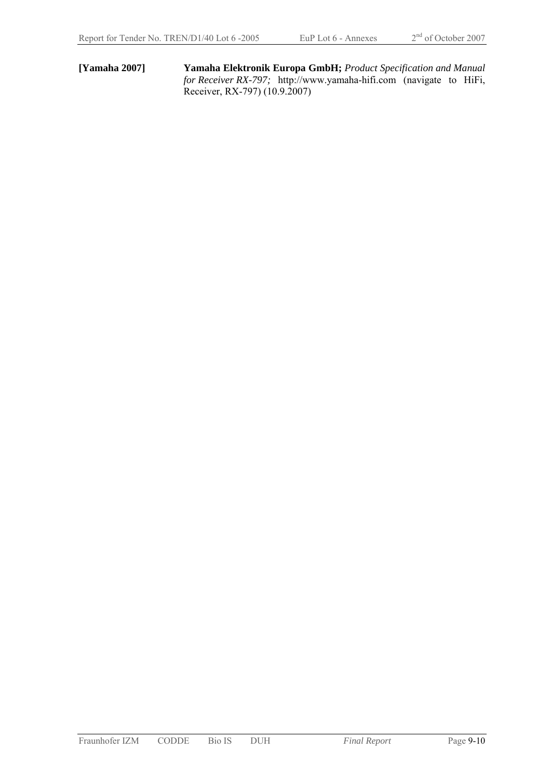**[Yamaha 2007] Yamaha Elektronik Europa GmbH;** *Product Specification and Manual for Receiver RX-797;* http://www.yamaha-hifi.com (navigate to HiFi, Receiver, RX-797) (10.9.2007)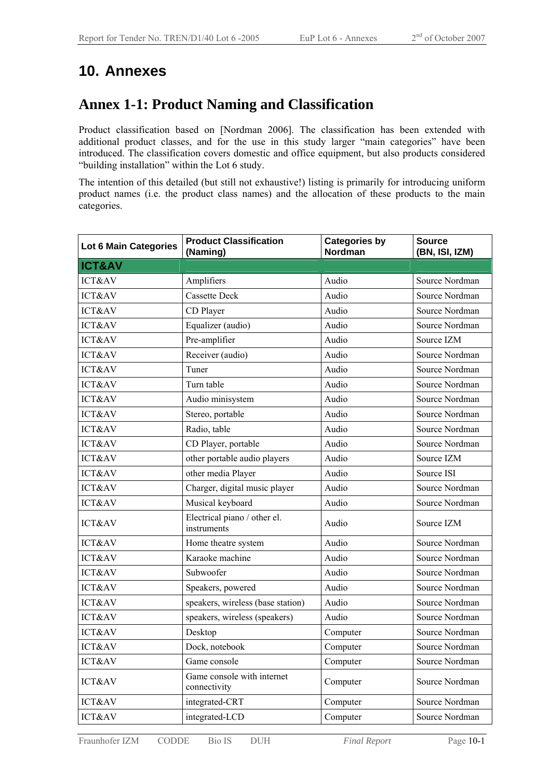## **10. Annexes**

### **Annex 1-1: Product Naming and Classification**

Product classification based on [Nordman 2006]. The classification has been extended with additional product classes, and for the use in this study larger "main categories" have been introduced. The classification covers domestic and office equipment, but also products considered "building installation" within the Lot 6 study.

The intention of this detailed (but still not exhaustive!) listing is primarily for introducing uniform product names (i.e. the product class names) and the allocation of these products to the main categories.

| Lot 6 Main Categories | <b>Product Classification</b><br>(Naming)   | <b>Categories by</b><br>Nordman | <b>Source</b><br>(BN, ISI, IZM) |
|-----------------------|---------------------------------------------|---------------------------------|---------------------------------|
| <b>ICT&amp;AV</b>     |                                             |                                 |                                 |
| <b>ICT&amp;AV</b>     | Amplifiers                                  | Audio                           | Source Nordman                  |
| ICT&AV                | <b>Cassette Deck</b>                        | Audio                           | Source Nordman                  |
| <b>ICT&amp;AV</b>     | CD Player                                   | Audio                           | Source Nordman                  |
| ICT&AV                | Equalizer (audio)                           | Audio                           | Source Nordman                  |
| ICT&AV                | Pre-amplifier                               | Audio                           | Source IZM                      |
| <b>ICT&amp;AV</b>     | Receiver (audio)                            | Audio                           | Source Nordman                  |
| <b>ICT&amp;AV</b>     | Tuner                                       | Audio                           | Source Nordman                  |
| ICT&AV                | Turn table                                  | Audio                           | Source Nordman                  |
| <b>ICT&amp;AV</b>     | Audio minisystem                            | Audio                           | Source Nordman                  |
| <b>ICT&amp;AV</b>     | Stereo, portable                            | Audio                           | Source Nordman                  |
| <b>ICT&amp;AV</b>     | Radio, table                                | Audio                           | Source Nordman                  |
| ICT&AV                | CD Player, portable                         | Audio                           | Source Nordman                  |
| ICT&AV                | other portable audio players                | Audio                           | Source IZM                      |
| ICT&AV                | other media Player                          | Audio                           | Source ISI                      |
| ICT&AV                | Charger, digital music player               | Audio                           | Source Nordman                  |
| <b>ICT&amp;AV</b>     | Musical keyboard                            | Audio                           | Source Nordman                  |
| ICT&AV                | Electrical piano / other el.<br>instruments | Audio                           | Source IZM                      |
| ICT&AV                | Home theatre system                         | Audio                           | Source Nordman                  |
| ICT&AV                | Karaoke machine                             | Audio                           | Source Nordman                  |
| <b>ICT&amp;AV</b>     | Subwoofer                                   | Audio                           | Source Nordman                  |
| ICT&AV                | Speakers, powered                           | Audio                           | Source Nordman                  |
| ICT&AV                | speakers, wireless (base station)           | Audio                           | Source Nordman                  |
| ICT&AV                | speakers, wireless (speakers)               | Audio                           | Source Nordman                  |
| ICT&AV                | Desktop                                     | Computer                        | Source Nordman                  |
| ICT&AV                | Dock, notebook                              | Computer                        | Source Nordman                  |
| ICT&AV                | Game console                                | Computer                        | Source Nordman                  |
| ICT&AV                | Game console with internet<br>connectivity  | Computer                        | Source Nordman                  |
| ICT&AV                | integrated-CRT                              | Computer                        | Source Nordman                  |
| ICT&AV                | integrated-LCD                              | Computer                        | Source Nordman                  |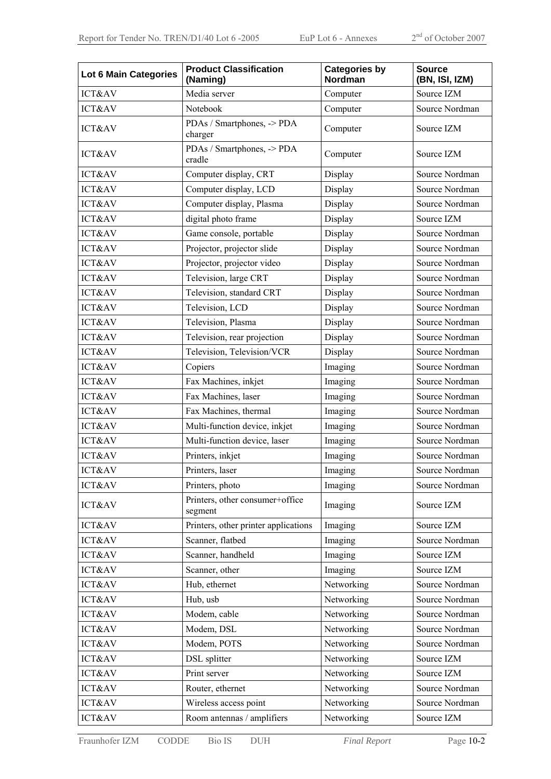| <b>Lot 6 Main Categories</b> | <b>Product Classification</b><br>(Naming)  | <b>Categories by</b><br>Nordman | <b>Source</b><br>(BN, ISI, IZM) |
|------------------------------|--------------------------------------------|---------------------------------|---------------------------------|
| ICT&AV                       | Media server                               | Computer                        | Source IZM                      |
| ICT&AV                       | Notebook                                   | Computer                        | Source Nordman                  |
| ICT&AV                       | PDAs / Smartphones, -> PDA<br>charger      | Computer                        | Source IZM                      |
| <b>ICT&amp;AV</b>            | PDAs / Smartphones, -> PDA<br>cradle       | Computer                        | Source IZM                      |
| ICT&AV                       | Computer display, CRT                      | Display                         | Source Nordman                  |
| ICT&AV                       | Computer display, LCD                      | Display                         | Source Nordman                  |
| ICT&AV                       | Computer display, Plasma                   | Display                         | Source Nordman                  |
| ICT&AV                       | digital photo frame                        | Display                         | Source IZM                      |
| ICT&AV                       | Game console, portable                     | Display                         | Source Nordman                  |
| ICT&AV                       | Projector, projector slide                 | Display                         | Source Nordman                  |
| ICT&AV                       | Projector, projector video                 | Display                         | Source Nordman                  |
| ICT&AV                       | Television, large CRT                      | Display                         | Source Nordman                  |
| ICT&AV                       | Television, standard CRT                   | Display                         | Source Nordman                  |
| <b>ICT&amp;AV</b>            | Television, LCD                            | Display                         | Source Nordman                  |
| ICT&AV                       | Television, Plasma                         | Display                         | Source Nordman                  |
| ICT&AV                       | Television, rear projection                | Display                         | Source Nordman                  |
| <b>ICT&amp;AV</b>            | Television, Television/VCR                 | Display                         | Source Nordman                  |
| ICT&AV                       | Copiers                                    | Imaging                         | Source Nordman                  |
| ICT&AV                       | Fax Machines, inkjet                       | Imaging                         | Source Nordman                  |
| ICT&AV                       | Fax Machines, laser                        | Imaging                         | Source Nordman                  |
| ICT&AV                       | Fax Machines, thermal                      | Imaging                         | Source Nordman                  |
| ICT&AV                       | Multi-function device, inkjet              | Imaging                         | Source Nordman                  |
| ICT&AV                       | Multi-function device, laser               | Imaging                         | Source Nordman                  |
| ICT&AV                       | Printers, inkjet                           | Imaging                         | Source Nordman                  |
| ICT&AV                       | Printers, laser                            | Imaging                         | Source Nordman                  |
| ICT&AV                       | Printers, photo                            | Imaging                         | Source Nordman                  |
| ICT&AV                       | Printers, other consumer+office<br>segment | Imaging                         | Source IZM                      |
| ICT&AV                       | Printers, other printer applications       | Imaging                         | Source IZM                      |
| ICT&AV                       | Scanner, flatbed                           | Imaging                         | Source Nordman                  |
| ICT&AV                       | Scanner, handheld                          | Imaging                         | Source IZM                      |
| ICT&AV                       | Scanner, other                             | Imaging                         | Source IZM                      |
| ICT&AV                       | Hub, ethernet                              | Networking                      | Source Nordman                  |
| ICT&AV                       | Hub, usb                                   | Networking                      | Source Nordman                  |
| ICT&AV                       | Modem, cable                               | Networking                      | Source Nordman                  |
| ICT&AV                       | Modem, DSL                                 | Networking                      | Source Nordman                  |
| ICT&AV                       | Modem, POTS                                | Networking                      | Source Nordman                  |
| ICT&AV                       | DSL splitter                               | Networking                      | Source IZM                      |
| ICT&AV                       | Print server                               | Networking                      | Source IZM                      |
| ICT&AV                       | Router, ethernet                           | Networking                      | Source Nordman                  |
| ICT&AV                       | Wireless access point                      | Networking                      | Source Nordman                  |
| ICT&AV                       | Room antennas / amplifiers                 | Networking                      | Source IZM                      |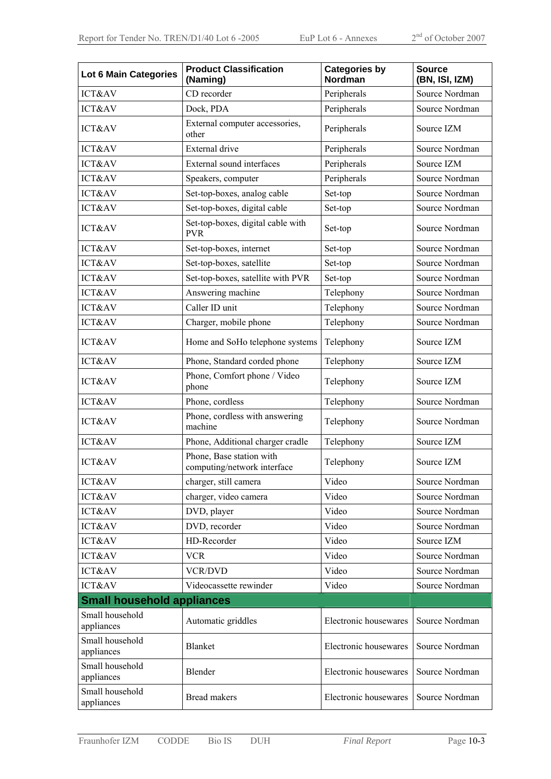| <b>Lot 6 Main Categories</b>      | <b>Product Classification</b><br>(Naming)               | <b>Categories by</b><br>Nordman | <b>Source</b><br>(BN, ISI, IZM) |  |
|-----------------------------------|---------------------------------------------------------|---------------------------------|---------------------------------|--|
| ICT&AV                            | CD recorder                                             | Peripherals                     | Source Nordman                  |  |
| ICT&AV                            | Dock, PDA                                               | Peripherals                     | Source Nordman                  |  |
| ICT&AV                            | External computer accessories,<br>other                 | Peripherals                     | Source IZM                      |  |
| ICT&AV                            | External drive                                          | Peripherals                     | Source Nordman                  |  |
| ICT&AV                            | External sound interfaces                               | Peripherals                     | Source IZM                      |  |
| <b>ICT&amp;AV</b>                 | Speakers, computer                                      | Peripherals                     | Source Nordman                  |  |
| <b>ICT&amp;AV</b>                 | Set-top-boxes, analog cable                             | Set-top                         | Source Nordman                  |  |
| ICT&AV                            | Set-top-boxes, digital cable                            | Set-top                         | Source Nordman                  |  |
| ICT&AV                            | Set-top-boxes, digital cable with<br><b>PVR</b>         | Set-top                         | Source Nordman                  |  |
| ICT&AV                            | Set-top-boxes, internet                                 | Set-top                         | Source Nordman                  |  |
| ICT&AV                            | Set-top-boxes, satellite                                | Set-top                         | Source Nordman                  |  |
| ICT&AV                            | Set-top-boxes, satellite with PVR                       | Set-top                         | Source Nordman                  |  |
| ICT&AV                            | Answering machine                                       | Telephony                       | Source Nordman                  |  |
| ICT&AV                            | Caller ID unit                                          | Telephony                       | Source Nordman                  |  |
| ICT&AV                            | Charger, mobile phone                                   | Telephony                       | Source Nordman                  |  |
| ICT&AV                            | Home and SoHo telephone systems                         | Telephony                       | Source IZM                      |  |
| ICT&AV                            | Phone, Standard corded phone                            | Telephony                       | Source IZM                      |  |
| ICT&AV                            | Phone, Comfort phone / Video<br>phone                   | Telephony                       | Source IZM                      |  |
| ICT&AV                            | Phone, cordless                                         | Telephony                       | Source Nordman                  |  |
| <b>ICT&amp;AV</b>                 | Phone, cordless with answering<br>machine               | Telephony<br>Source Nordman     |                                 |  |
| ICT&AV                            | Phone, Additional charger cradle                        | Telephony                       | Source IZM                      |  |
| ICT&AV                            | Phone, Base station with<br>computing/network interface | Telephony                       | Source IZM                      |  |
| ICT&AV                            | charger, still camera                                   | Video                           | Source Nordman                  |  |
| ICT&AV                            | charger, video camera                                   | Video                           | Source Nordman                  |  |
| ICT&AV                            | DVD, player                                             | Video                           | Source Nordman                  |  |
| ICT&AV                            | DVD, recorder                                           | Video                           | Source Nordman                  |  |
| ICT&AV                            | HD-Recorder                                             | Video                           | Source IZM                      |  |
| ICT&AV                            | <b>VCR</b>                                              | Video                           | Source Nordman                  |  |
| ICT&AV                            | <b>VCR/DVD</b>                                          | Video                           | Source Nordman                  |  |
| ICT&AV                            | Videocassette rewinder                                  | Video                           | Source Nordman                  |  |
| <b>Small household appliances</b> |                                                         |                                 |                                 |  |
| Small household<br>appliances     | Automatic griddles                                      | Electronic housewares           | Source Nordman                  |  |
| Small household<br>appliances     | <b>Blanket</b>                                          | Electronic housewares           | Source Nordman                  |  |
| Small household<br>appliances     | Blender                                                 | Electronic housewares           | Source Nordman                  |  |
| Small household<br>appliances     | <b>Bread makers</b>                                     | Electronic housewares           | Source Nordman                  |  |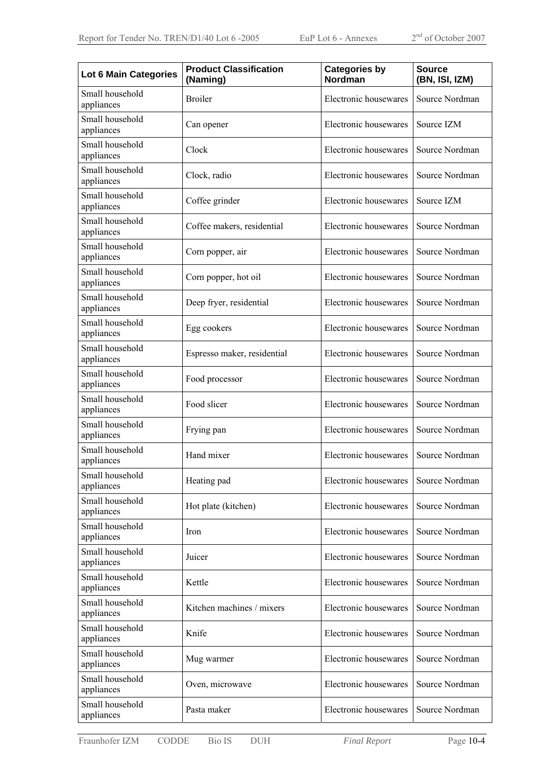| <b>Lot 6 Main Categories</b>  | <b>Product Classification</b><br>(Naming)            | <b>Categories by</b><br>Nordman | <b>Source</b><br>(BN, ISI, IZM) |  |
|-------------------------------|------------------------------------------------------|---------------------------------|---------------------------------|--|
| Small household<br>appliances | <b>Broiler</b>                                       | Electronic housewares           | Source Nordman                  |  |
| Small household<br>appliances | Can opener                                           | Electronic housewares           | Source IZM                      |  |
| Small household<br>appliances | Clock                                                | Electronic housewares           | Source Nordman                  |  |
| Small household<br>appliances | Clock, radio                                         | Electronic housewares           | Source Nordman                  |  |
| Small household<br>appliances | Coffee grinder                                       | Electronic housewares           | Source IZM                      |  |
| Small household<br>appliances | Coffee makers, residential                           | Electronic housewares           | Source Nordman                  |  |
| Small household<br>appliances | Corn popper, air                                     | Electronic housewares           | Source Nordman                  |  |
| Small household<br>appliances | Corn popper, hot oil                                 | Electronic housewares           | Source Nordman                  |  |
| Small household<br>appliances | Deep fryer, residential                              | Electronic housewares           | Source Nordman                  |  |
| Small household<br>appliances | Egg cookers                                          | Electronic housewares           | Source Nordman                  |  |
| Small household<br>appliances | Espresso maker, residential<br>Electronic housewares |                                 | Source Nordman                  |  |
| Small household<br>appliances | Food processor                                       | Electronic housewares           | Source Nordman                  |  |
| Small household<br>appliances | Food slicer                                          | Electronic housewares           | Source Nordman                  |  |
| Small household<br>appliances | Frying pan                                           | Electronic housewares           | Source Nordman                  |  |
| Small household<br>appliances | Hand mixer                                           | Electronic housewares           | Source Nordman                  |  |
| Small household<br>appliances | Heating pad                                          | Electronic housewares           | Source Nordman                  |  |
| Small household<br>appliances | Hot plate (kitchen)                                  | Electronic housewares           | Source Nordman                  |  |
| Small household<br>appliances | Iron                                                 | Electronic housewares           | Source Nordman                  |  |
| Small household<br>appliances | Juicer                                               | Electronic housewares           | Source Nordman                  |  |
| Small household<br>appliances | Kettle                                               | Electronic housewares           | Source Nordman                  |  |
| Small household<br>appliances | Kitchen machines / mixers                            | Electronic housewares           | Source Nordman                  |  |
| Small household<br>appliances | Knife                                                | Electronic housewares           | Source Nordman                  |  |
| Small household<br>appliances | Mug warmer                                           | Electronic housewares           | Source Nordman                  |  |
| Small household<br>appliances | Oven, microwave                                      | Electronic housewares           | Source Nordman                  |  |
| Small household<br>appliances | Pasta maker                                          | Electronic housewares           | Source Nordman                  |  |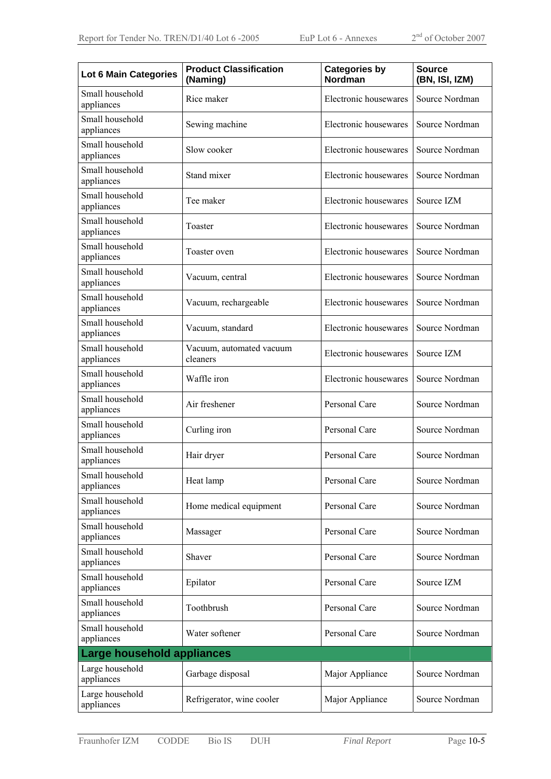| <b>Lot 6 Main Categories</b>  | <b>Product Classification</b><br>(Naming) | <b>Categories by</b><br>Nordman | <b>Source</b><br>(BN, ISI, IZM) |  |
|-------------------------------|-------------------------------------------|---------------------------------|---------------------------------|--|
| Small household<br>appliances | Rice maker                                | Electronic housewares           | Source Nordman                  |  |
| Small household<br>appliances | Sewing machine                            | Electronic housewares           | Source Nordman                  |  |
| Small household<br>appliances | Slow cooker                               | Electronic housewares           | Source Nordman                  |  |
| Small household<br>appliances | Stand mixer                               | Electronic housewares           | Source Nordman                  |  |
| Small household<br>appliances | Tee maker                                 | Electronic housewares           | Source IZM                      |  |
| Small household<br>appliances | Toaster                                   | Electronic housewares           | Source Nordman                  |  |
| Small household<br>appliances | Toaster oven                              | Electronic housewares           | Source Nordman                  |  |
| Small household<br>appliances | Vacuum, central                           | Electronic housewares           | Source Nordman                  |  |
| Small household<br>appliances | Vacuum, rechargeable                      | Electronic housewares           | Source Nordman                  |  |
| Small household<br>appliances | Electronic housewares<br>Vacuum, standard |                                 | Source Nordman                  |  |
| Small household<br>appliances | Vacuum, automated vacuum<br>cleaners      | Electronic housewares           | Source IZM                      |  |
| Small household<br>appliances | Waffle iron                               | Electronic housewares           | Source Nordman                  |  |
| Small household<br>appliances | Air freshener                             | Personal Care                   | Source Nordman                  |  |
| Small household<br>appliances | Curling iron                              | Personal Care                   | Source Nordman                  |  |
| Small household<br>appliances | Hair dryer                                | Personal Care                   | Source Nordman                  |  |
| Small household<br>appliances | Heat lamp                                 | Personal Care                   | Source Nordman                  |  |
| Small household<br>appliances | Home medical equipment                    | Personal Care                   | Source Nordman                  |  |
| Small household<br>appliances | Massager                                  | Personal Care                   | Source Nordman                  |  |
| Small household<br>appliances | Shaver                                    | Personal Care                   | Source Nordman                  |  |
| Small household<br>appliances | Epilator                                  | Personal Care                   | Source IZM                      |  |
| Small household<br>appliances | Toothbrush                                | Personal Care                   | Source Nordman                  |  |
| Small household<br>appliances | Water softener                            | Personal Care                   | Source Nordman                  |  |
| Large household appliances    |                                           |                                 |                                 |  |
| Large household<br>appliances | Garbage disposal                          | Major Appliance                 | Source Nordman                  |  |
| Large household<br>appliances | Refrigerator, wine cooler                 | Major Appliance                 | Source Nordman                  |  |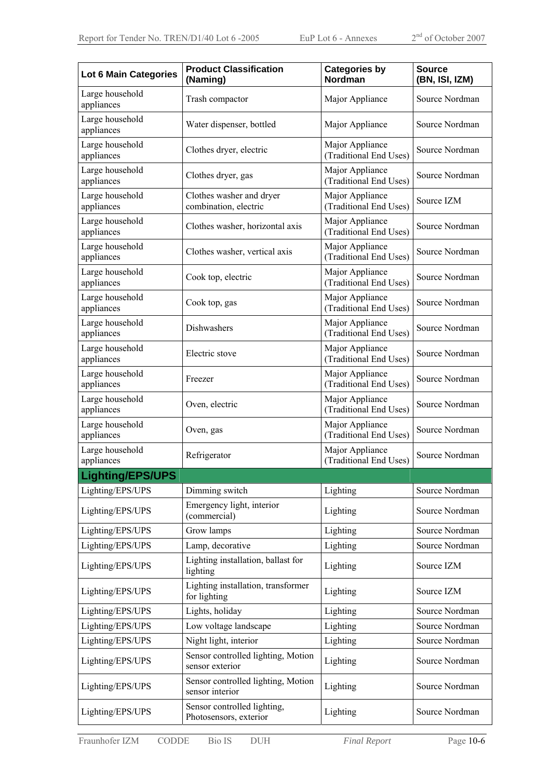| Lot 6 Main Categories         | <b>Product Classification</b><br>(Naming)             | <b>Categories by</b><br>Nordman           | <b>Source</b><br>(BN, ISI, IZM) |
|-------------------------------|-------------------------------------------------------|-------------------------------------------|---------------------------------|
| Large household<br>appliances | Trash compactor                                       | Major Appliance                           | Source Nordman                  |
| Large household<br>appliances | Water dispenser, bottled                              | Major Appliance                           | Source Nordman                  |
| Large household<br>appliances | Clothes dryer, electric                               | Major Appliance<br>(Traditional End Uses) | Source Nordman                  |
| Large household<br>appliances | Clothes dryer, gas                                    | Major Appliance<br>(Traditional End Uses) | Source Nordman                  |
| Large household<br>appliances | Clothes washer and dryer<br>combination, electric     | Major Appliance<br>(Traditional End Uses) | Source IZM                      |
| Large household<br>appliances | Clothes washer, horizontal axis                       | Major Appliance<br>(Traditional End Uses) | Source Nordman                  |
| Large household<br>appliances | Clothes washer, vertical axis                         | Major Appliance<br>(Traditional End Uses) | Source Nordman                  |
| Large household<br>appliances | Cook top, electric                                    | Major Appliance<br>(Traditional End Uses) | Source Nordman                  |
| Large household<br>appliances | Cook top, gas                                         | Major Appliance<br>(Traditional End Uses) | Source Nordman                  |
| Large household<br>appliances | Dishwashers                                           | Major Appliance<br>(Traditional End Uses) | Source Nordman                  |
| Large household<br>appliances | Electric stove                                        | Major Appliance<br>(Traditional End Uses) | Source Nordman                  |
| Large household<br>appliances | Freezer                                               | Major Appliance<br>(Traditional End Uses) | Source Nordman                  |
| Large household<br>appliances | Oven, electric                                        | Major Appliance<br>(Traditional End Uses) | Source Nordman                  |
| Large household<br>appliances | Oven, gas                                             | Major Appliance<br>(Traditional End Uses) | Source Nordman                  |
| Large household<br>appliances | Refrigerator                                          | Major Appliance<br>(Traditional End Uses) | Source Nordman                  |
| Lighting/EPS/UPS              |                                                       |                                           |                                 |
| Lighting/EPS/UPS              | Dimming switch                                        | Lighting                                  | Source Nordman                  |
| Lighting/EPS/UPS              | Emergency light, interior<br>(commercial)             | Lighting                                  | Source Nordman                  |
| Lighting/EPS/UPS              | Grow lamps                                            | Lighting                                  | Source Nordman                  |
| Lighting/EPS/UPS              | Lamp, decorative                                      | Lighting                                  | Source Nordman                  |
| Lighting/EPS/UPS              | Lighting installation, ballast for<br>lighting        | Lighting                                  | Source IZM                      |
| Lighting/EPS/UPS              | Lighting installation, transformer<br>for lighting    | Lighting                                  | Source IZM                      |
| Lighting/EPS/UPS              | Lights, holiday                                       | Lighting                                  | Source Nordman                  |
| Lighting/EPS/UPS              | Low voltage landscape                                 | Lighting                                  | Source Nordman                  |
| Lighting/EPS/UPS              | Night light, interior                                 | Lighting                                  | Source Nordman                  |
| Lighting/EPS/UPS              | Sensor controlled lighting, Motion<br>sensor exterior | Lighting                                  | Source Nordman                  |
| Lighting/EPS/UPS              | Sensor controlled lighting, Motion<br>sensor interior | Lighting                                  | Source Nordman                  |
| Lighting/EPS/UPS              | Sensor controlled lighting,<br>Photosensors, exterior | Lighting                                  | Source Nordman                  |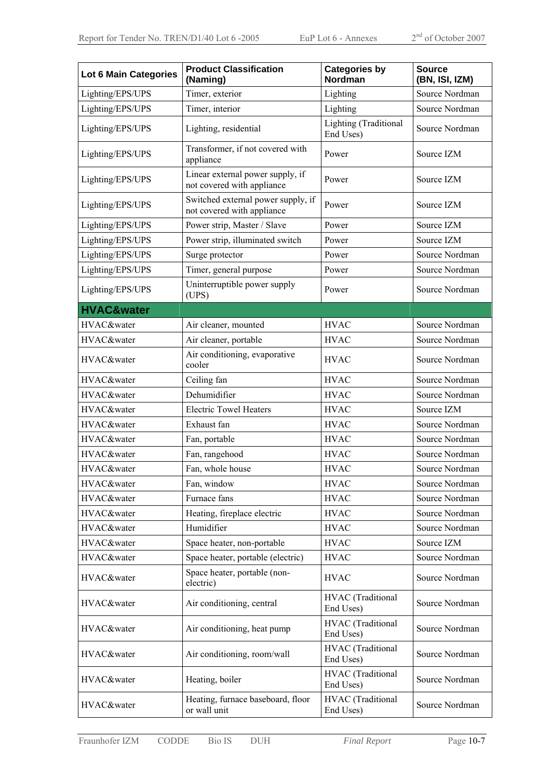| <b>Lot 6 Main Categories</b> | <b>Product Classification</b><br>(Naming)                        | <b>Categories by</b><br>Nordman    | <b>Source</b><br>(BN, ISI, IZM) |  |
|------------------------------|------------------------------------------------------------------|------------------------------------|---------------------------------|--|
| Lighting/EPS/UPS             | Timer, exterior                                                  | Lighting                           | Source Nordman                  |  |
| Lighting/EPS/UPS             | Timer, interior                                                  | Lighting                           | Source Nordman                  |  |
| Lighting/EPS/UPS             | Lighting, residential                                            | Lighting (Traditional<br>End Uses) | Source Nordman                  |  |
| Lighting/EPS/UPS             | Transformer, if not covered with<br>appliance                    | Power                              | Source IZM                      |  |
| Lighting/EPS/UPS             | Linear external power supply, if<br>not covered with appliance   | Power                              | Source IZM                      |  |
| Lighting/EPS/UPS             | Switched external power supply, if<br>not covered with appliance | Power                              | Source IZM                      |  |
| Lighting/EPS/UPS             | Power strip, Master / Slave                                      | Power                              | Source IZM                      |  |
| Lighting/EPS/UPS             | Power strip, illuminated switch                                  | Power                              | Source IZM                      |  |
| Lighting/EPS/UPS             | Surge protector                                                  | Power                              | Source Nordman                  |  |
| Lighting/EPS/UPS             | Timer, general purpose                                           | Power                              | Source Nordman                  |  |
| Lighting/EPS/UPS             | Uninterruptible power supply<br>(UPS)                            | Power                              | Source Nordman                  |  |
| <b>HVAC&amp;water</b>        |                                                                  |                                    |                                 |  |
| HVAC&water                   | Air cleaner, mounted                                             | <b>HVAC</b>                        | Source Nordman                  |  |
| HVAC&water                   | Air cleaner, portable                                            | <b>HVAC</b>                        | Source Nordman                  |  |
| HVAC&water                   | Air conditioning, evaporative<br>cooler                          | <b>HVAC</b>                        | Source Nordman                  |  |
| HVAC&water                   | Ceiling fan                                                      | <b>HVAC</b>                        | Source Nordman                  |  |
| HVAC&water                   | Dehumidifier                                                     | <b>HVAC</b>                        | Source Nordman                  |  |
| HVAC&water                   | <b>Electric Towel Heaters</b>                                    | <b>HVAC</b>                        | Source IZM                      |  |
| HVAC&water                   | Exhaust fan                                                      | <b>HVAC</b>                        | Source Nordman                  |  |
| HVAC&water                   | Fan, portable                                                    | <b>HVAC</b>                        | Source Nordman                  |  |
| HVAC&water                   | Fan, rangehood                                                   | <b>HVAC</b>                        | Source Nordman                  |  |
| HVAC&water                   | Fan, whole house                                                 | <b>HVAC</b>                        | Source Nordman                  |  |
| HVAC&water                   | Fan, window                                                      | <b>HVAC</b>                        | Source Nordman                  |  |
| HVAC&water                   | Furnace fans                                                     | <b>HVAC</b>                        | Source Nordman                  |  |
| HVAC&water                   | Heating, fireplace electric                                      | <b>HVAC</b>                        | Source Nordman                  |  |
| HVAC&water                   | Humidifier                                                       | <b>HVAC</b>                        | Source Nordman                  |  |
| HVAC&water                   | Space heater, non-portable                                       | <b>HVAC</b>                        | Source IZM                      |  |
| HVAC&water                   | Space heater, portable (electric)                                | <b>HVAC</b>                        | Source Nordman                  |  |
| HVAC&water                   | Space heater, portable (non-<br>electric)                        | <b>HVAC</b>                        | Source Nordman                  |  |
| HVAC&water                   | Air conditioning, central                                        | HVAC (Traditional<br>End Uses)     | Source Nordman                  |  |
| HVAC&water                   | Air conditioning, heat pump                                      | HVAC (Traditional<br>End Uses)     | Source Nordman                  |  |
| HVAC&water                   | Air conditioning, room/wall                                      | HVAC (Traditional<br>End Uses)     | Source Nordman                  |  |
| HVAC&water                   | Heating, boiler                                                  | HVAC (Traditional<br>End Uses)     | Source Nordman                  |  |
| HVAC&water                   | Heating, furnace baseboard, floor<br>or wall unit                | HVAC (Traditional<br>End Uses)     | Source Nordman                  |  |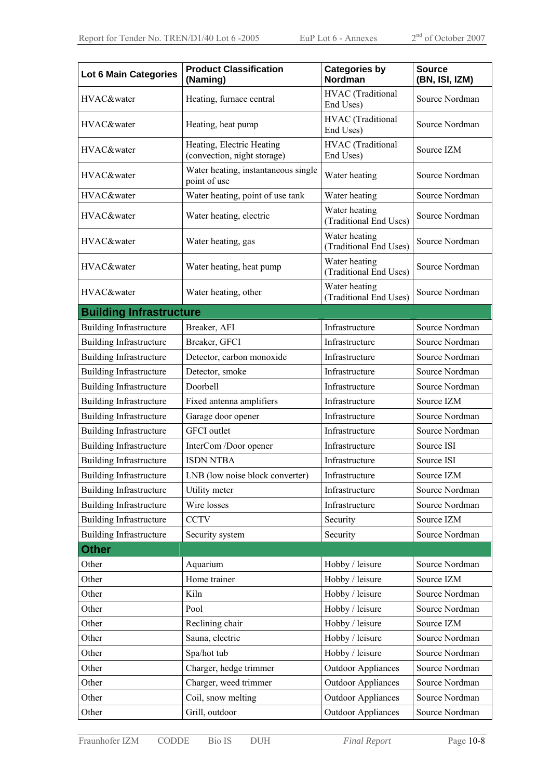| <b>Lot 6 Main Categories</b>   | <b>Product Classification</b><br>(Naming)                | <b>Categories by</b><br><b>Nordman</b>      | <b>Source</b><br>(BN, ISI, IZM) |  |
|--------------------------------|----------------------------------------------------------|---------------------------------------------|---------------------------------|--|
| HVAC&water                     | Heating, furnace central                                 | HVAC (Traditional<br>End Uses)              | Source Nordman                  |  |
| HVAC&water                     | Heating, heat pump                                       | HVAC (Traditional<br>End Uses)              | Source Nordman                  |  |
| HVAC&water                     | Heating, Electric Heating<br>(convection, night storage) | HVAC (Traditional<br>End Uses)              | Source IZM                      |  |
| HVAC&water                     | Water heating, instantaneous single<br>point of use      | Water heating                               | Source Nordman                  |  |
| HVAC&water                     | Water heating, point of use tank                         | Water heating                               | Source Nordman                  |  |
| HVAC&water                     | Water heating, electric                                  | Water heating<br>(Traditional End Uses)     | Source Nordman                  |  |
| HVAC&water                     | Water heating, gas                                       | Water heating<br>(Traditional End Uses)     | Source Nordman                  |  |
| HVAC&water                     | Water heating, heat pump                                 | Water heating<br>(Traditional End Uses)     | Source Nordman                  |  |
| HVAC&water                     | Water heating, other                                     | Water heating<br>(Traditional End Uses)     | Source Nordman                  |  |
| <b>Building Infrastructure</b> |                                                          |                                             |                                 |  |
| <b>Building Infrastructure</b> | Breaker, AFI                                             | Infrastructure                              | Source Nordman                  |  |
| <b>Building Infrastructure</b> | Breaker, GFCI                                            | Infrastructure                              | Source Nordman                  |  |
| <b>Building Infrastructure</b> | Detector, carbon monoxide                                | Infrastructure                              | Source Nordman                  |  |
| <b>Building Infrastructure</b> | Detector, smoke                                          | Infrastructure                              | Source Nordman                  |  |
| <b>Building Infrastructure</b> | Doorbell                                                 | Infrastructure                              | Source Nordman                  |  |
| <b>Building Infrastructure</b> | Fixed antenna amplifiers                                 | Infrastructure                              | Source IZM                      |  |
| <b>Building Infrastructure</b> | Garage door opener                                       | Infrastructure                              | Source Nordman                  |  |
| <b>Building Infrastructure</b> | <b>GFCI</b> outlet                                       | Infrastructure                              | Source Nordman                  |  |
| <b>Building Infrastructure</b> | InterCom /Door opener                                    | Infrastructure                              | Source ISI                      |  |
| <b>Building Infrastructure</b> | <b>ISDN NTBA</b>                                         | Infrastructure                              | Source ISI                      |  |
| <b>Building Infrastructure</b> | LNB (low noise block converter)                          | Infrastructure                              | Source IZM                      |  |
| <b>Building Infrastructure</b> | Utility meter                                            | Infrastructure                              | Source Nordman                  |  |
| <b>Building Infrastructure</b> | Wire losses                                              | Infrastructure                              | Source Nordman                  |  |
| <b>Building Infrastructure</b> | <b>CCTV</b>                                              | Security                                    | Source IZM                      |  |
| <b>Building Infrastructure</b> | Security system                                          | Security                                    | Source Nordman                  |  |
| <b>Other</b>                   |                                                          |                                             |                                 |  |
| Other                          | Aquarium                                                 | Hobby / leisure                             | Source Nordman                  |  |
| Other                          | Home trainer                                             | Hobby / leisure                             | Source IZM                      |  |
| Other                          | Kiln                                                     | Hobby / leisure                             | Source Nordman                  |  |
| Other                          | Pool                                                     | Hobby / leisure                             | Source Nordman                  |  |
| Other                          | Reclining chair                                          | Hobby / leisure                             | Source IZM                      |  |
| Other                          | Sauna, electric                                          | Hobby / leisure                             | Source Nordman                  |  |
| Other                          | Spa/hot tub                                              | Hobby / leisure                             | Source Nordman                  |  |
| Other                          | Charger, hedge trimmer                                   | <b>Outdoor Appliances</b>                   | Source Nordman                  |  |
| Other                          | Charger, weed trimmer                                    | <b>Outdoor Appliances</b><br>Source Nordman |                                 |  |
| Other                          | Coil, snow melting                                       | <b>Outdoor Appliances</b>                   | Source Nordman                  |  |
| Other                          | Grill, outdoor                                           | <b>Outdoor Appliances</b>                   | Source Nordman                  |  |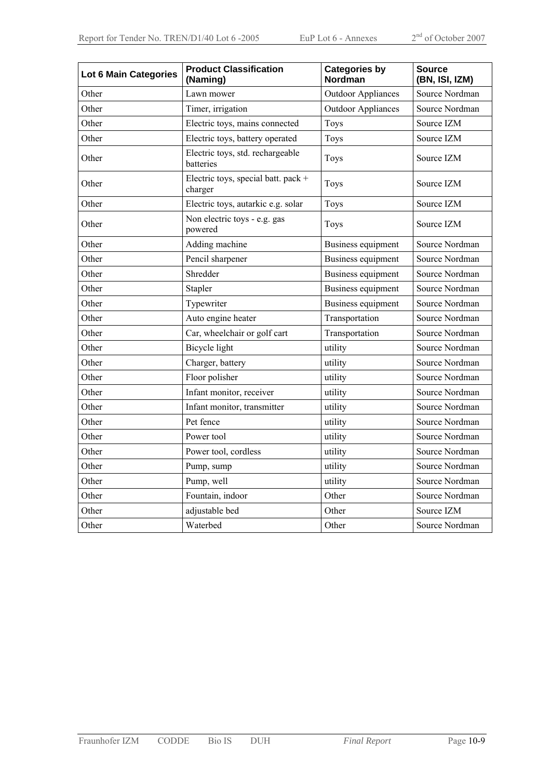| Lot 6 Main Categories | <b>Product Classification</b><br>(Naming)      | <b>Categories by</b><br><b>Nordman</b> | <b>Source</b><br>(BN, ISI, IZM) |  |
|-----------------------|------------------------------------------------|----------------------------------------|---------------------------------|--|
| Other                 | Lawn mower                                     | <b>Outdoor Appliances</b>              | Source Nordman                  |  |
| Other                 | Timer, irrigation                              | <b>Outdoor Appliances</b>              | Source Nordman                  |  |
| Other                 | Electric toys, mains connected                 | Toys                                   | Source IZM                      |  |
| Other                 | Electric toys, battery operated                | Toys                                   | Source IZM                      |  |
| Other                 | Electric toys, std. rechargeable<br>batteries  | Toys                                   | Source IZM                      |  |
| Other                 | Electric toys, special batt. pack +<br>charger | Toys                                   | Source IZM                      |  |
| Other                 | Electric toys, autarkic e.g. solar             | Toys                                   | Source IZM                      |  |
| Other                 | Non electric toys - e.g. gas<br>powered        | Toys                                   | Source IZM                      |  |
| Other                 | Adding machine                                 | Business equipment                     | Source Nordman                  |  |
| Other                 | Pencil sharpener                               | <b>Business equipment</b>              | Source Nordman                  |  |
| Other                 | Shredder                                       | Business equipment                     | Source Nordman                  |  |
| Other                 | Stapler                                        | Business equipment                     | Source Nordman                  |  |
| Other                 | Typewriter                                     | Business equipment                     | Source Nordman                  |  |
| Other                 | Auto engine heater                             | Transportation                         | Source Nordman                  |  |
| Other                 | Car, wheelchair or golf cart                   | Transportation                         | Source Nordman                  |  |
| Other                 | <b>Bicycle</b> light                           | utility                                | Source Nordman                  |  |
| Other                 | Charger, battery                               | utility                                | Source Nordman                  |  |
| Other                 | Floor polisher                                 | utility                                | Source Nordman                  |  |
| Other                 | Infant monitor, receiver                       | utility                                | Source Nordman                  |  |
| Other                 | Infant monitor, transmitter                    | utility                                | Source Nordman                  |  |
| Other                 | Pet fence                                      | utility                                | Source Nordman                  |  |
| Other                 | Power tool                                     | utility                                | Source Nordman                  |  |
| Other                 | Power tool, cordless                           | utility                                | Source Nordman                  |  |
| Other                 | Pump, sump                                     | utility                                | Source Nordman                  |  |
| Other                 | Pump, well                                     | utility                                | Source Nordman                  |  |
| Other                 | Fountain, indoor                               | Other<br>Source Nordman                |                                 |  |
| Other                 | adjustable bed                                 | Other                                  | Source IZM                      |  |
| Other                 | Waterbed                                       | Other                                  | Source Nordman                  |  |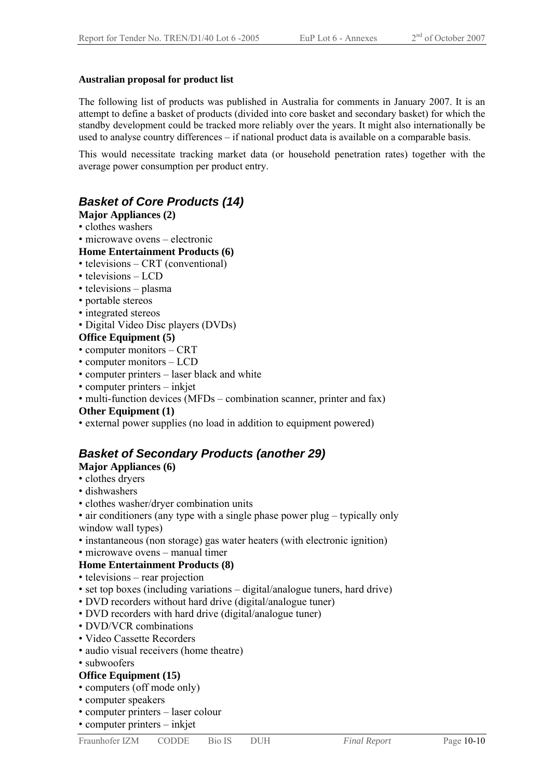#### **Australian proposal for product list**

The following list of products was published in Australia for comments in January 2007. It is an attempt to define a basket of products (divided into core basket and secondary basket) for which the standby development could be tracked more reliably over the years. It might also internationally be used to analyse country differences – if national product data is available on a comparable basis.

This would necessitate tracking market data (or household penetration rates) together with the average power consumption per product entry.

### *Basket of Core Products (14)*

- **Major Appliances (2)**
- clothes washers
- microwave ovens electronic

#### **Home Entertainment Products (6)**

- televisions CRT (conventional)
- televisions LCD
- televisions plasma
- portable stereos
- integrated stereos
- Digital Video Disc players (DVDs)

#### **Office Equipment (5)**

- computer monitors CRT
- computer monitors LCD
- computer printers laser black and white
- computer printers inkjet
- multi-function devices (MFDs combination scanner, printer and fax)

#### **Other Equipment (1)**

• external power supplies (no load in addition to equipment powered)

### *Basket of Secondary Products (another 29)*

- **Major Appliances (6)**
- clothes dryers
- dishwashers
- clothes washer/dryer combination units
- air conditioners (any type with a single phase power plug typically only window wall types)
- instantaneous (non storage) gas water heaters (with electronic ignition)
- microwave ovens manual timer

#### **Home Entertainment Products (8)**

- televisions rear projection
- set top boxes (including variations digital/analogue tuners, hard drive)
- DVD recorders without hard drive (digital/analogue tuner)
- DVD recorders with hard drive (digital/analogue tuner)
- DVD/VCR combinations
- Video Cassette Recorders
- audio visual receivers (home theatre)
- subwoofers

#### **Office Equipment (15)**

- computers (off mode only)
- computer speakers
- computer printers laser colour
- computer printers inkjet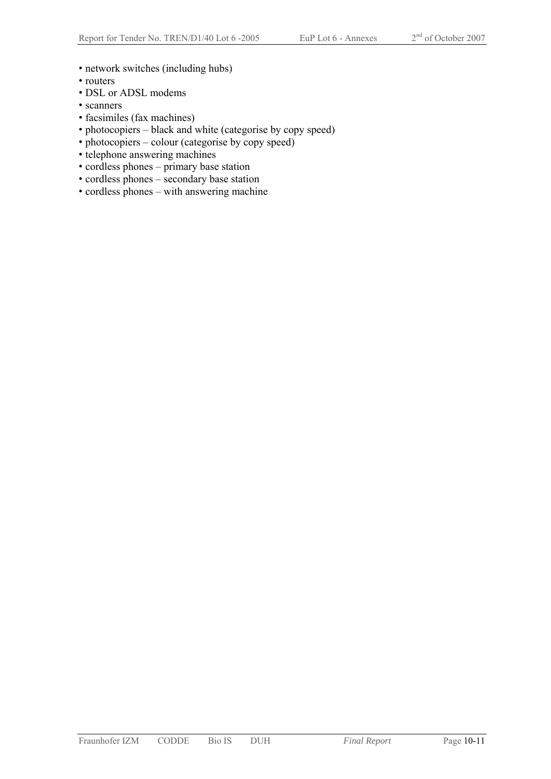- network switches (including hubs)
- routers
- DSL or ADSL modems
- scanners
- facsimiles (fax machines)
- photocopiers black and white (categorise by copy speed)
- photocopiers colour (categorise by copy speed)
- telephone answering machines
- cordless phones primary base station
- cordless phones secondary base station
- cordless phones with answering machine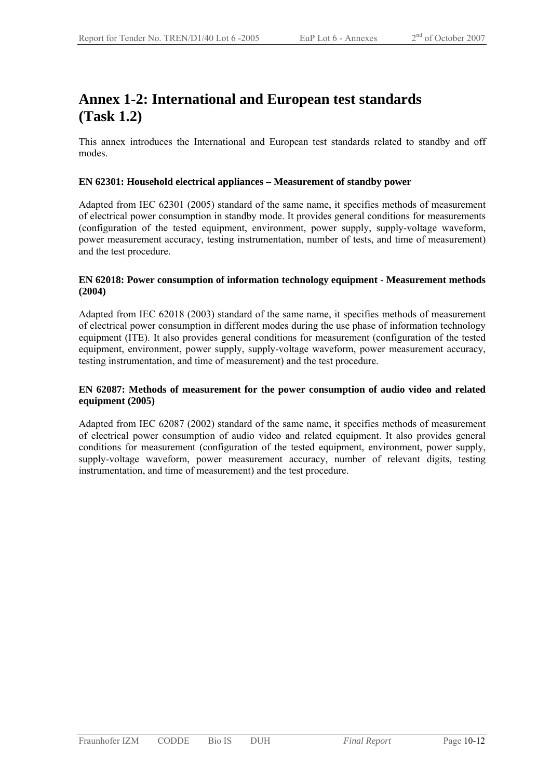### **Annex 1-2: International and European test standards (Task 1.2)**

This annex introduces the International and European test standards related to standby and off modes.

#### **EN 62301: Household electrical appliances – Measurement of standby power**

Adapted from IEC 62301 (2005) standard of the same name, it specifies methods of measurement of electrical power consumption in standby mode. It provides general conditions for measurements (configuration of the tested equipment, environment, power supply, supply-voltage waveform, power measurement accuracy, testing instrumentation, number of tests, and time of measurement) and the test procedure.

#### **EN 62018: Power consumption of information technology equipment - Measurement methods (2004)**

Adapted from IEC 62018 (2003) standard of the same name, it specifies methods of measurement of electrical power consumption in different modes during the use phase of information technology equipment (ITE). It also provides general conditions for measurement (configuration of the tested equipment, environment, power supply, supply-voltage waveform, power measurement accuracy, testing instrumentation, and time of measurement) and the test procedure.

#### **EN 62087: Methods of measurement for the power consumption of audio video and related equipment (2005)**

Adapted from IEC 62087 (2002) standard of the same name, it specifies methods of measurement of electrical power consumption of audio video and related equipment. It also provides general conditions for measurement (configuration of the tested equipment, environment, power supply, supply-voltage waveform, power measurement accuracy, number of relevant digits, testing instrumentation, and time of measurement) and the test procedure.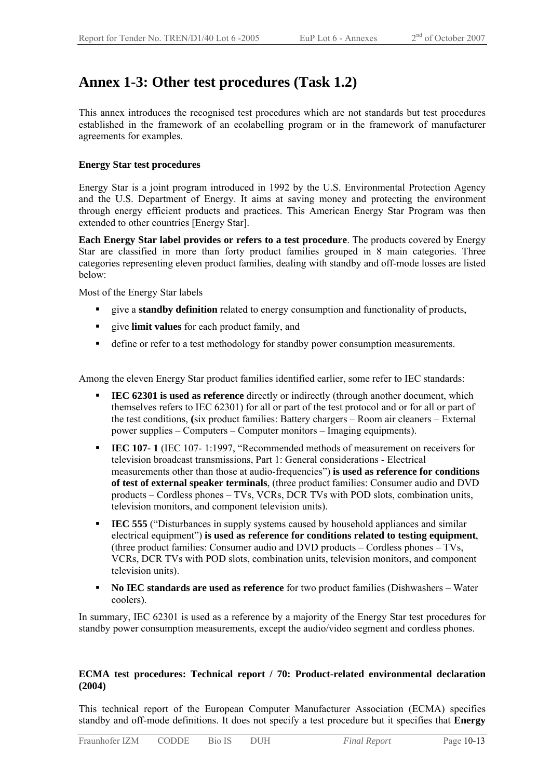### **Annex 1-3: Other test procedures (Task 1.2)**

This annex introduces the recognised test procedures which are not standards but test procedures established in the framework of an ecolabelling program or in the framework of manufacturer agreements for examples.

#### **Energy Star test procedures**

Energy Star is a joint program introduced in 1992 by the U.S. Environmental Protection Agency and the U.S. Department of Energy. It aims at saving money and protecting the environment through energy efficient products and practices. This American Energy Star Program was then extended to other countries [Energy Star].

**Each Energy Star label provides or refers to a test procedure**. The products covered by Energy Star are classified in more than forty product families grouped in 8 main categories. Three categories representing eleven product families, dealing with standby and off-mode losses are listed below:

Most of the Energy Star labels

- give a **standby definition** related to energy consumption and functionality of products,
- give **limit values** for each product family, and
- define or refer to a test methodology for standby power consumption measurements.

Among the eleven Energy Star product families identified earlier, some refer to IEC standards:

- **IEC 62301 is used as reference** directly or indirectly (through another document, which themselves refers to IEC 62301) for all or part of the test protocol and or for all or part of the test conditions, **(**six product families: Battery chargers – Room air cleaners – External power supplies – Computers – Computer monitors – Imaging equipments).
- **IEC 107-1** (IEC 107- 1:1997, "Recommended methods of measurement on receivers for television broadcast transmissions, Part 1: General considerations - Electrical measurements other than those at audio-frequencies") **is used as reference for conditions of test of external speaker terminals**, (three product families: Consumer audio and DVD products – Cordless phones – TVs, VCRs, DCR TVs with POD slots, combination units, television monitors, and component television units).
- **IEC 555** ("Disturbances in supply systems caused by household appliances and similar electrical equipment") **is used as reference for conditions related to testing equipment**, (three product families: Consumer audio and DVD products – Cordless phones – TVs, VCRs, DCR TVs with POD slots, combination units, television monitors, and component television units).
- **No IEC standards are used as reference** for two product families (Dishwashers Water coolers).

In summary, IEC 62301 is used as a reference by a majority of the Energy Star test procedures for standby power consumption measurements, except the audio/video segment and cordless phones.

#### **ECMA test procedures: Technical report / 70: Product-related environmental declaration (2004)**

This technical report of the European Computer Manufacturer Association (ECMA) specifies standby and off-mode definitions. It does not specify a test procedure but it specifies that **Energy**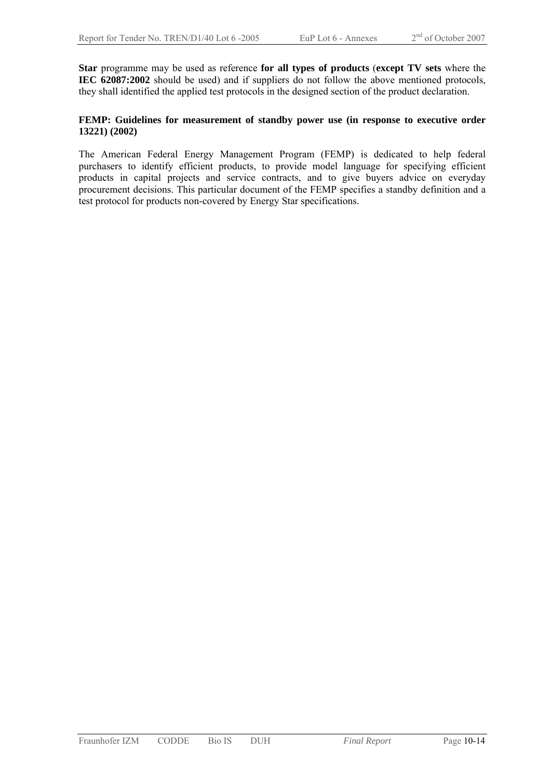**Star** programme may be used as reference **for all types of products** (**except TV sets** where the **IEC 62087:2002** should be used) and if suppliers do not follow the above mentioned protocols, they shall identified the applied test protocols in the designed section of the product declaration.

#### **FEMP: Guidelines for measurement of standby power use (in response to executive order 13221) (2002)**

The American Federal Energy Management Program (FEMP) is dedicated to help federal purchasers to identify efficient products, to provide model language for specifying efficient products in capital projects and service contracts, and to give buyers advice on everyday procurement decisions. This particular document of the FEMP specifies a standby definition and a test protocol for products non-covered by Energy Star specifications.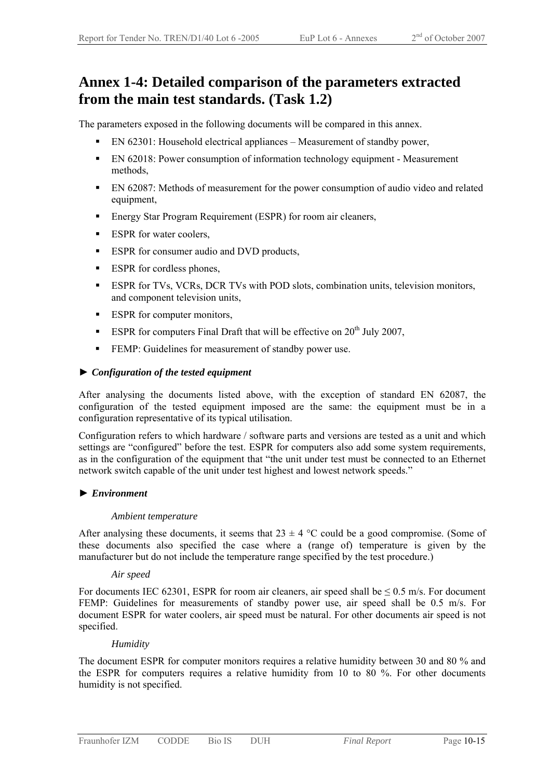### **Annex 1-4: Detailed comparison of the parameters extracted from the main test standards. (Task 1.2)**

The parameters exposed in the following documents will be compared in this annex.

- EN 62301: Household electrical appliances Measurement of standby power,
- EN 62018: Power consumption of information technology equipment Measurement methods,
- EN 62087: Methods of measurement for the power consumption of audio video and related equipment,
- Energy Star Program Requirement (ESPR) for room air cleaners,
- **ESPR** for water coolers,
- ESPR for consumer audio and DVD products,
- **ESPR** for cordless phones,
- ESPR for TVs, VCRs, DCR TVs with POD slots, combination units, television monitors, and component television units,
- ESPR for computer monitors,
- ESPR for computers Final Draft that will be effective on  $20^{th}$  July 2007.
- FEMP: Guidelines for measurement of standby power use.

#### ► *Configuration of the tested equipment*

After analysing the documents listed above, with the exception of standard EN 62087, the configuration of the tested equipment imposed are the same: the equipment must be in a configuration representative of its typical utilisation.

Configuration refers to which hardware / software parts and versions are tested as a unit and which settings are "configured" before the test. ESPR for computers also add some system requirements, as in the configuration of the equipment that "the unit under test must be connected to an Ethernet network switch capable of the unit under test highest and lowest network speeds."

#### ► *Environment*

#### *Ambient temperature*

After analysing these documents, it seems that  $23 \pm 4$  °C could be a good compromise. (Some of these documents also specified the case where a (range of) temperature is given by the manufacturer but do not include the temperature range specified by the test procedure.)

#### *Air speed*

For documents IEC 62301, ESPR for room air cleaners, air speed shall be  $\leq 0.5$  m/s. For document FEMP: Guidelines for measurements of standby power use, air speed shall be 0.5 m/s. For document ESPR for water coolers, air speed must be natural. For other documents air speed is not specified.

#### *Humidity*

The document ESPR for computer monitors requires a relative humidity between 30 and 80 % and the ESPR for computers requires a relative humidity from 10 to 80 %. For other documents humidity is not specified.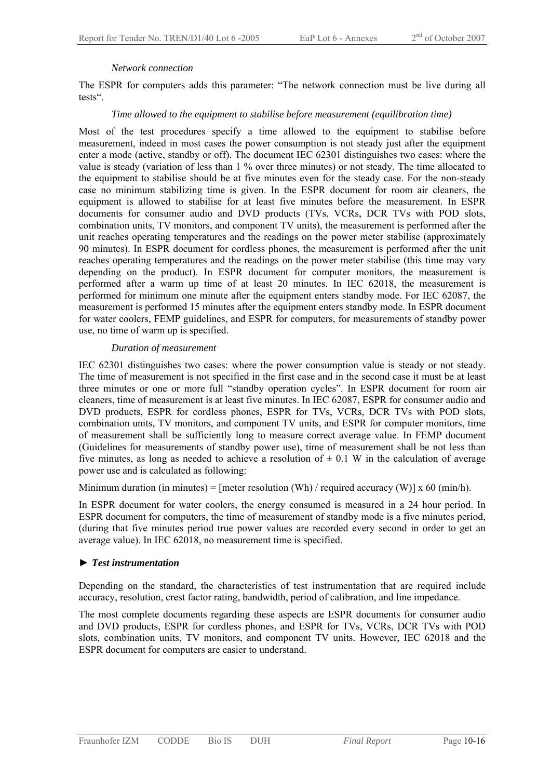#### *Network connection*

The ESPR for computers adds this parameter: "The network connection must be live during all tests".

#### *Time allowed to the equipment to stabilise before measurement (equilibration time)*

Most of the test procedures specify a time allowed to the equipment to stabilise before measurement, indeed in most cases the power consumption is not steady just after the equipment enter a mode (active, standby or off). The document IEC 62301 distinguishes two cases: where the value is steady (variation of less than 1 % over three minutes) or not steady. The time allocated to the equipment to stabilise should be at five minutes even for the steady case. For the non-steady case no minimum stabilizing time is given. In the ESPR document for room air cleaners, the equipment is allowed to stabilise for at least five minutes before the measurement. In ESPR documents for consumer audio and DVD products (TVs, VCRs, DCR TVs with POD slots, combination units, TV monitors, and component TV units), the measurement is performed after the unit reaches operating temperatures and the readings on the power meter stabilise (approximately 90 minutes). In ESPR document for cordless phones, the measurement is performed after the unit reaches operating temperatures and the readings on the power meter stabilise (this time may vary depending on the product). In ESPR document for computer monitors, the measurement is performed after a warm up time of at least 20 minutes. In IEC 62018, the measurement is performed for minimum one minute after the equipment enters standby mode. For IEC 62087, the measurement is performed 15 minutes after the equipment enters standby mode. In ESPR document for water coolers, FEMP guidelines, and ESPR for computers, for measurements of standby power use, no time of warm up is specified.

#### *Duration of measurement*

IEC 62301 distinguishes two cases: where the power consumption value is steady or not steady. The time of measurement is not specified in the first case and in the second case it must be at least three minutes or one or more full "standby operation cycles". In ESPR document for room air cleaners, time of measurement is at least five minutes. In IEC 62087, ESPR for consumer audio and DVD products, ESPR for cordless phones, ESPR for TVs, VCRs, DCR TVs with POD slots, combination units, TV monitors, and component TV units, and ESPR for computer monitors, time of measurement shall be sufficiently long to measure correct average value. In FEMP document (Guidelines for measurements of standby power use), time of measurement shall be not less than five minutes, as long as needed to achieve a resolution of  $\pm$  0.1 W in the calculation of average power use and is calculated as following:

Minimum duration (in minutes) = [meter resolution (Wh) / required accuracy (W)]  $\times$  60 (min/h).

In ESPR document for water coolers, the energy consumed is measured in a 24 hour period. In ESPR document for computers, the time of measurement of standby mode is a five minutes period, (during that five minutes period true power values are recorded every second in order to get an average value). In IEC 62018, no measurement time is specified.

#### ► *Test instrumentation*

Depending on the standard, the characteristics of test instrumentation that are required include accuracy, resolution, crest factor rating, bandwidth, period of calibration, and line impedance.

The most complete documents regarding these aspects are ESPR documents for consumer audio and DVD products, ESPR for cordless phones, and ESPR for TVs, VCRs, DCR TVs with POD slots, combination units, TV monitors, and component TV units. However, IEC 62018 and the ESPR document for computers are easier to understand.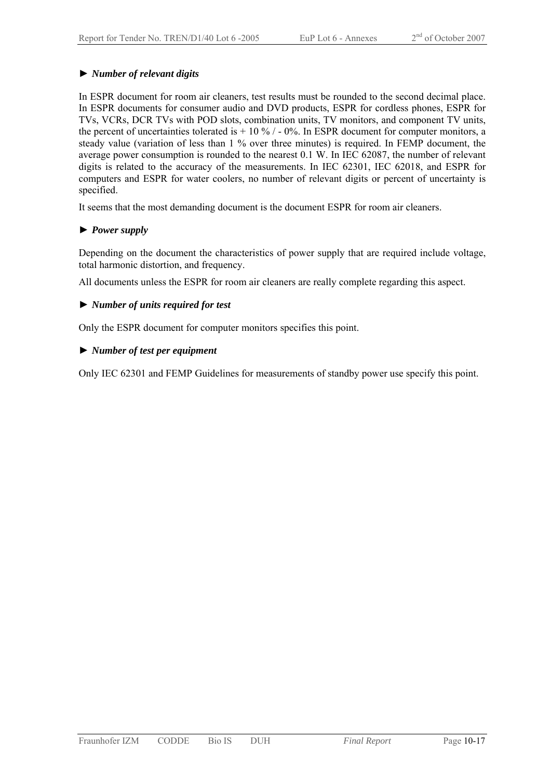#### ► *Number of relevant digits*

In ESPR document for room air cleaners, test results must be rounded to the second decimal place. In ESPR documents for consumer audio and DVD products, ESPR for cordless phones, ESPR for TVs, VCRs, DCR TVs with POD slots, combination units, TV monitors, and component TV units, the percent of uncertainties tolerated is  $+ 10\%$  / - 0%. In ESPR document for computer monitors, a steady value (variation of less than 1 % over three minutes) is required. In FEMP document, the average power consumption is rounded to the nearest 0.1 W. In IEC 62087, the number of relevant digits is related to the accuracy of the measurements. In IEC 62301, IEC 62018, and ESPR for computers and ESPR for water coolers, no number of relevant digits or percent of uncertainty is specified.

It seems that the most demanding document is the document ESPR for room air cleaners.

#### ► *Power supply*

Depending on the document the characteristics of power supply that are required include voltage, total harmonic distortion, and frequency.

All documents unless the ESPR for room air cleaners are really complete regarding this aspect.

#### ► *Number of units required for test*

Only the ESPR document for computer monitors specifies this point.

#### ► *Number of test per equipment*

Only IEC 62301 and FEMP Guidelines for measurements of standby power use specify this point.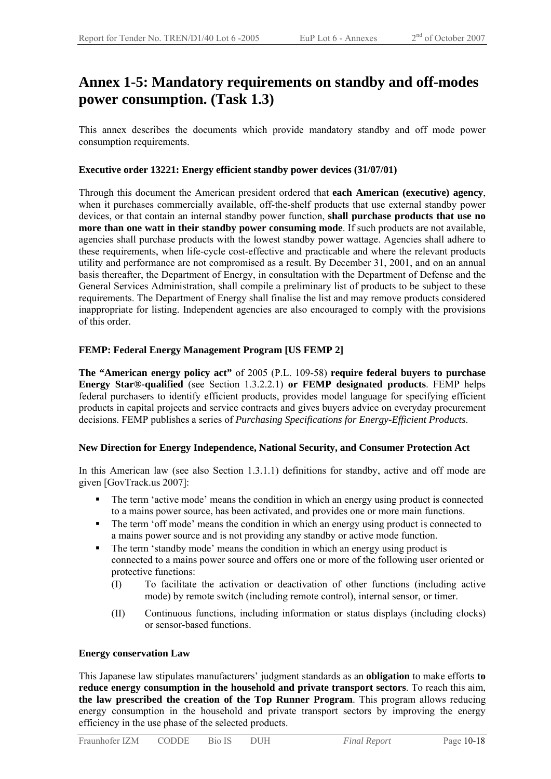### **Annex 1-5: Mandatory requirements on standby and off-modes power consumption. (Task 1.3)**

This annex describes the documents which provide mandatory standby and off mode power consumption requirements.

#### **Executive order 13221: Energy efficient standby power devices (31/07/01)**

Through this document the American president ordered that **each American (executive) agency**, when it purchases commercially available, off-the-shelf products that use external standby power devices, or that contain an internal standby power function, **shall purchase products that use no more than one watt in their standby power consuming mode**. If such products are not available, agencies shall purchase products with the lowest standby power wattage. Agencies shall adhere to these requirements, when life-cycle cost-effective and practicable and where the relevant products utility and performance are not compromised as a result. By December 31, 2001, and on an annual basis thereafter, the Department of Energy, in consultation with the Department of Defense and the General Services Administration, shall compile a preliminary list of products to be subject to these requirements. The Department of Energy shall finalise the list and may remove products considered inappropriate for listing. Independent agencies are also encouraged to comply with the provisions of this order.

#### **FEMP: Federal Energy Management Program [US FEMP 2]**

**The "American energy policy act"** of 2005 (P.L. 109-58) **require federal buyers to purchase Energy Star®-qualified** (see Section 1.3.2.2.1) **or FEMP designated products**. FEMP helps federal purchasers to identify efficient products, provides model language for specifying efficient products in capital projects and service contracts and gives buyers advice on everyday procurement decisions. FEMP publishes a series of *Purchasing Specifications for Energy-Efficient Products*.

#### **New Direction for Energy Independence, National Security, and Consumer Protection Act**

In this American law (see also Section 1.3.1.1) definitions for standby, active and off mode are given [GovTrack.us 2007]:

- The term 'active mode' means the condition in which an energy using product is connected to a mains power source, has been activated, and provides one or more main functions.
- The term 'off mode' means the condition in which an energy using product is connected to a mains power source and is not providing any standby or active mode function.
- The term 'standby mode' means the condition in which an energy using product is connected to a mains power source and offers one or more of the following user oriented or protective functions:
	- (I) To facilitate the activation or deactivation of other functions (including active mode) by remote switch (including remote control), internal sensor, or timer.
	- (II) Continuous functions, including information or status displays (including clocks) or sensor-based functions.

#### **Energy conservation Law**

This Japanese law stipulates manufacturers' judgment standards as an **obligation** to make efforts **to reduce energy consumption in the household and private transport sectors**. To reach this aim, **the law prescribed the creation of the Top Runner Program**. This program allows reducing energy consumption in the household and private transport sectors by improving the energy efficiency in the use phase of the selected products.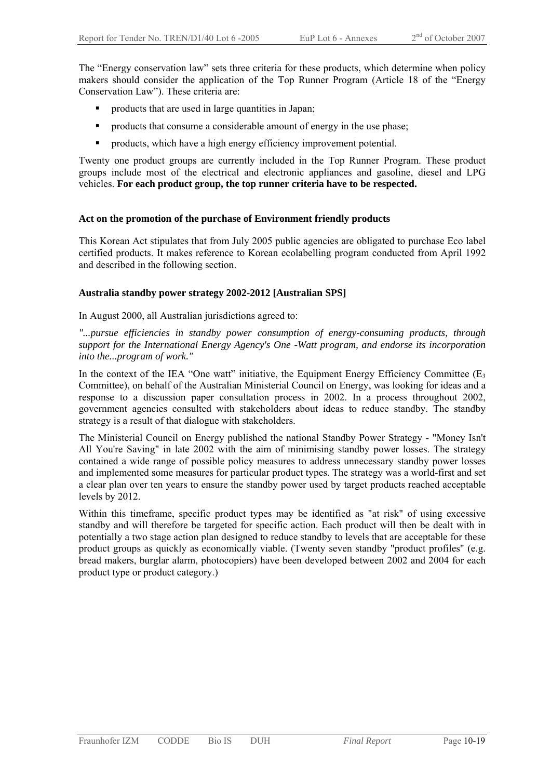The "Energy conservation law" sets three criteria for these products, which determine when policy makers should consider the application of the Top Runner Program (Article 18 of the "Energy Conservation Law"). These criteria are:

- products that are used in large quantities in Japan;
- **•** products that consume a considerable amount of energy in the use phase;
- **•** products, which have a high energy efficiency improvement potential.

Twenty one product groups are currently included in the Top Runner Program. These product groups include most of the electrical and electronic appliances and gasoline, diesel and LPG vehicles. **For each product group, the top runner criteria have to be respected.** 

#### **Act on the promotion of the purchase of Environment friendly products**

This Korean Act stipulates that from July 2005 public agencies are obligated to purchase Eco label certified products. It makes reference to Korean ecolabelling program conducted from April 1992 and described in the following section.

#### **Australia standby power strategy 2002-2012 [Australian SPS]**

In August 2000, all Australian jurisdictions agreed to:

*"...pursue efficiencies in standby power consumption of energy-consuming products, through support for the International Energy Agency's One -Watt program, and endorse its incorporation into the...program of work."* 

In the context of the IEA "One watt" initiative, the Equipment Energy Efficiency Committee ( $E_3$ ) Committee), on behalf of the Australian Ministerial Council on Energy, was looking for ideas and a response to a discussion paper consultation process in 2002. In a process throughout 2002, government agencies consulted with stakeholders about ideas to reduce standby. The standby strategy is a result of that dialogue with stakeholders.

The Ministerial Council on Energy published the national Standby Power Strategy - "Money Isn't All You're Saving" in late 2002 with the aim of minimising standby power losses. The strategy contained a wide range of possible policy measures to address unnecessary standby power losses and implemented some measures for particular product types. The strategy was a world-first and set a clear plan over ten years to ensure the standby power used by target products reached acceptable levels by 2012.

Within this timeframe, specific product types may be identified as "at risk" of using excessive standby and will therefore be targeted for specific action. Each product will then be dealt with in potentially a two stage action plan designed to reduce standby to levels that are acceptable for these product groups as quickly as economically viable. (Twenty seven standby "product profiles" (e.g. bread makers, burglar alarm, photocopiers) have been developed between 2002 and 2004 for each product type or product category.)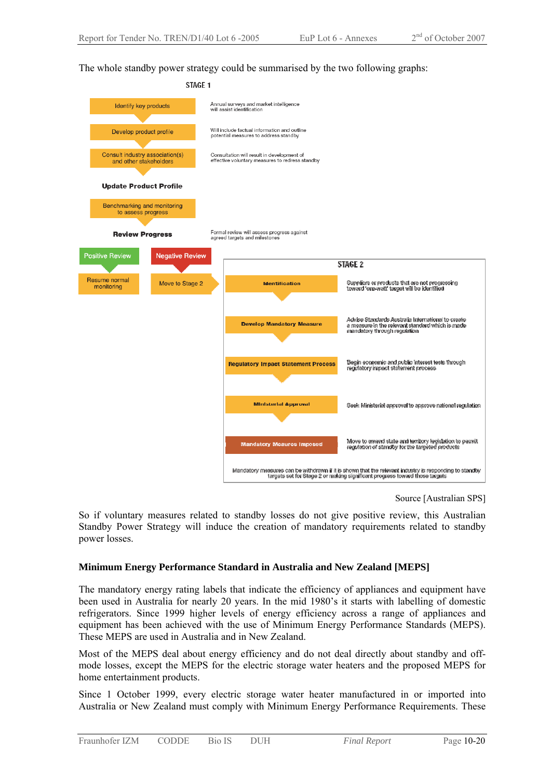The whole standby power strategy could be summarised by the two following graphs:



Source [Australian SPS]

So if voluntary measures related to standby losses do not give positive review, this Australian Standby Power Strategy will induce the creation of mandatory requirements related to standby power losses.

#### **Minimum Energy Performance Standard in Australia and New Zealand [MEPS]**

The mandatory energy rating labels that indicate the efficiency of appliances and equipment have been used in Australia for nearly 20 years. In the mid 1980's it starts with labelling of domestic refrigerators. Since 1999 higher levels of energy efficiency across a range of appliances and equipment has been achieved with the use of Minimum Energy Performance Standards (MEPS). These MEPS are used in Australia and in New Zealand.

Most of the MEPS deal about energy efficiency and do not deal directly about standby and offmode losses, except the MEPS for the electric storage water heaters and the proposed MEPS for home entertainment products.

Since 1 October 1999, every electric storage water heater manufactured in or imported into Australia or New Zealand must comply with Minimum Energy Performance Requirements. These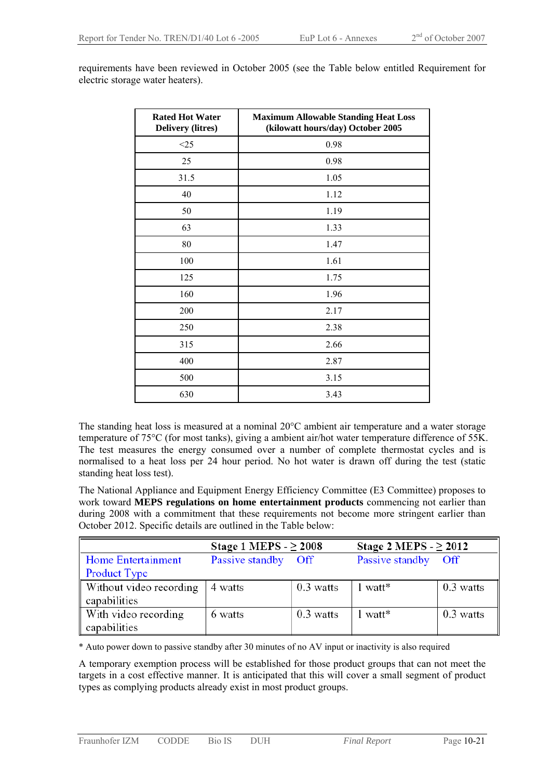| <b>Rated Hot Water</b><br><b>Delivery (litres)</b> | <b>Maximum Allowable Standing Heat Loss</b><br>(kilowatt hours/day) October 2005 |
|----------------------------------------------------|----------------------------------------------------------------------------------|
| $<$ 25                                             | 0.98                                                                             |
| 25                                                 | 0.98                                                                             |
| 31.5                                               | 1.05                                                                             |
| 40                                                 | 1.12                                                                             |
| 50                                                 | 1.19                                                                             |
| 63                                                 | 1.33                                                                             |
| 80                                                 | 1.47                                                                             |
| 100                                                | 1.61                                                                             |
| 125                                                | 1.75                                                                             |
| 160                                                | 1.96                                                                             |
| 200                                                | 2.17                                                                             |
| 250                                                | 2.38                                                                             |
| 315                                                | 2.66                                                                             |
| 400                                                | 2.87                                                                             |
| 500                                                | 3.15                                                                             |
| 630                                                | 3.43                                                                             |

requirements have been reviewed in October 2005 (see the Table below entitled Requirement for electric storage water heaters).

The standing heat loss is measured at a nominal 20°C ambient air temperature and a water storage temperature of 75°C (for most tanks), giving a ambient air/hot water temperature difference of 55K. The test measures the energy consumed over a number of complete thermostat cycles and is normalised to a heat loss per 24 hour period. No hot water is drawn off during the test (static standing heat loss test).

The National Appliance and Equipment Energy Efficiency Committee (E3 Committee) proposes to work toward **MEPS regulations on home entertainment products** commencing not earlier than during 2008 with a commitment that these requirements not become more stringent earlier than October 2012. Specific details are outlined in the Table below:

|                         | Stage 1 MEPS $- \geq 2008$ |             | Stage 2 MEPS $- \geq 2012$ |             |
|-------------------------|----------------------------|-------------|----------------------------|-------------|
| Home Entertainment      | Passive standby            | <b>Off</b>  | Passive standby            | Off         |
| Product Type            |                            |             |                            |             |
| Without video recording | 4 watts                    | $0.3$ watts | 1 watt*                    | $0.3$ watts |
| capabilities            |                            |             |                            |             |
| With video recording    | 6 watts                    | $0.3$ watts | $1$ watt <sup>*</sup>      | $0.3$ watts |
| capabilities            |                            |             |                            |             |

\* Auto power down to passive standby after 30 minutes of no AV input or inactivity is also required

A temporary exemption process will be established for those product groups that can not meet the targets in a cost effective manner. It is anticipated that this will cover a small segment of product types as complying products already exist in most product groups.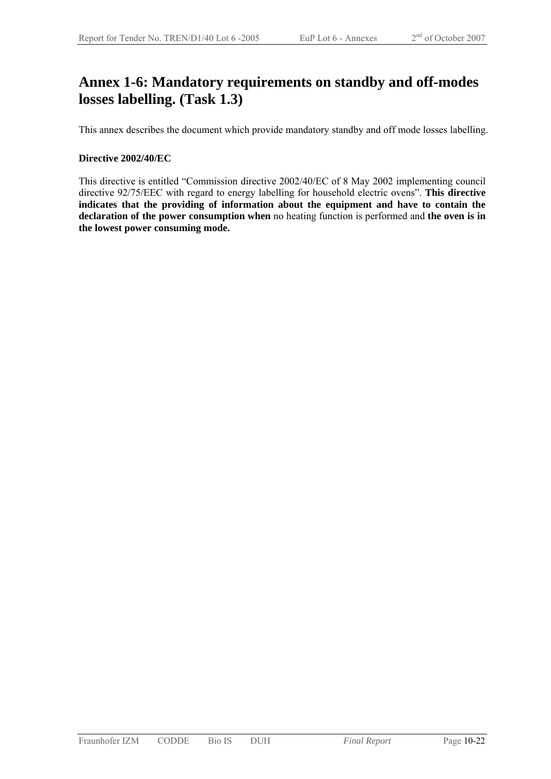### **Annex 1-6: Mandatory requirements on standby and off-modes losses labelling. (Task 1.3)**

This annex describes the document which provide mandatory standby and off mode losses labelling.

#### **Directive 2002/40/EC**

This directive is entitled "Commission directive 2002/40/EC of 8 May 2002 implementing council directive 92/75/EEC with regard to energy labelling for household electric ovens". **This directive indicates that the providing of information about the equipment and have to contain the declaration of the power consumption when** no heating function is performed and **the oven is in the lowest power consuming mode.**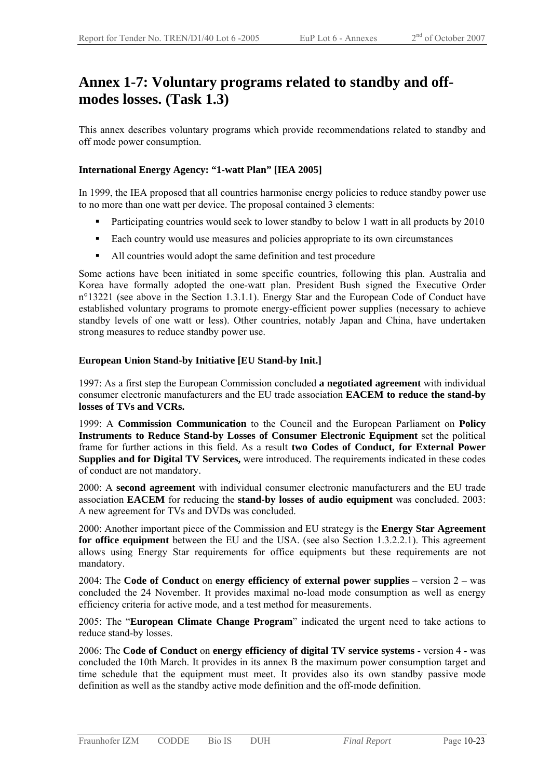### **Annex 1-7: Voluntary programs related to standby and offmodes losses. (Task 1.3)**

This annex describes voluntary programs which provide recommendations related to standby and off mode power consumption.

#### **International Energy Agency: "1-watt Plan" [IEA 2005]**

In 1999, the IEA proposed that all countries harmonise energy policies to reduce standby power use to no more than one watt per device. The proposal contained 3 elements:

- Participating countries would seek to lower standby to below 1 watt in all products by 2010
- Each country would use measures and policies appropriate to its own circumstances
- All countries would adopt the same definition and test procedure

Some actions have been initiated in some specific countries, following this plan. Australia and Korea have formally adopted the one-watt plan. President Bush signed the Executive Order n°13221 (see above in the Section 1.3.1.1). Energy Star and the European Code of Conduct have established voluntary programs to promote energy-efficient power supplies (necessary to achieve standby levels of one watt or less). Other countries, notably Japan and China, have undertaken strong measures to reduce standby power use.

#### **European Union Stand-by Initiative [EU Stand-by Init.]**

1997: As a first step the European Commission concluded **a negotiated agreement** with individual consumer electronic manufacturers and the EU trade association **EACEM to reduce the stand-by losses of TVs and VCRs.**

1999: A **Commission Communication** to the Council and the European Parliament on **Policy Instruments to Reduce Stand-by Losses of Consumer Electronic Equipment** set the political frame for further actions in this field. As a result **two Codes of Conduct, for External Power Supplies and for Digital TV Services,** were introduced. The requirements indicated in these codes of conduct are not mandatory.

2000: A **second agreement** with individual consumer electronic manufacturers and the EU trade association **EACEM** for reducing the **stand-by losses of audio equipment** was concluded. 2003: A new agreement for TVs and DVDs was concluded.

2000: Another important piece of the Commission and EU strategy is the **Energy Star Agreement for office equipment** between the EU and the USA. (see also Section 1.3.2.2.1). This agreement allows using Energy Star requirements for office equipments but these requirements are not mandatory.

2004: The **Code of Conduct** on **energy efficiency of external power supplies** – version 2 – was concluded the 24 November. It provides maximal no-load mode consumption as well as energy efficiency criteria for active mode, and a test method for measurements.

2005: The "**European Climate Change Program**" indicated the urgent need to take actions to reduce stand-by losses.

2006: The **Code of Conduct** on **energy efficiency of digital TV service systems** - version 4 - was concluded the 10th March. It provides in its annex B the maximum power consumption target and time schedule that the equipment must meet. It provides also its own standby passive mode definition as well as the standby active mode definition and the off-mode definition.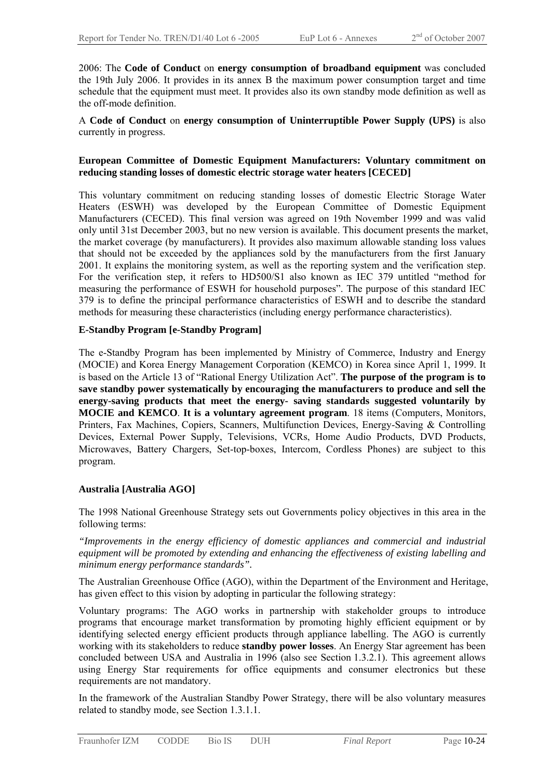2006: The **Code of Conduct** on **energy consumption of broadband equipment** was concluded the 19th July 2006. It provides in its annex B the maximum power consumption target and time schedule that the equipment must meet. It provides also its own standby mode definition as well as the off-mode definition.

A **Code of Conduct** on **energy consumption of Uninterruptible Power Supply (UPS)** is also currently in progress.

#### **European Committee of Domestic Equipment Manufacturers: Voluntary commitment on reducing standing losses of domestic electric storage water heaters [CECED]**

This voluntary commitment on reducing standing losses of domestic Electric Storage Water Heaters (ESWH) was developed by the European Committee of Domestic Equipment Manufacturers (CECED). This final version was agreed on 19th November 1999 and was valid only until 31st December 2003, but no new version is available. This document presents the market, the market coverage (by manufacturers). It provides also maximum allowable standing loss values that should not be exceeded by the appliances sold by the manufacturers from the first January 2001. It explains the monitoring system, as well as the reporting system and the verification step. For the verification step, it refers to HD500/S1 also known as IEC 379 untitled "method for measuring the performance of ESWH for household purposes". The purpose of this standard IEC 379 is to define the principal performance characteristics of ESWH and to describe the standard methods for measuring these characteristics (including energy performance characteristics).

#### **E-Standby Program [e-Standby Program]**

The e-Standby Program has been implemented by Ministry of Commerce, Industry and Energy (MOCIE) and Korea Energy Management Corporation (KEMCO) in Korea since April 1, 1999. It is based on the Article 13 of "Rational Energy Utilization Act". **The purpose of the program is to save standby power systematically by encouraging the manufacturers to produce and sell the energy-saving products that meet the energy- saving standards suggested voluntarily by MOCIE and KEMCO**. **It is a voluntary agreement program**. 18 items (Computers, Monitors, Printers, Fax Machines, Copiers, Scanners, Multifunction Devices, Energy-Saving & Controlling Devices, External Power Supply, Televisions, VCRs, Home Audio Products, DVD Products, Microwaves, Battery Chargers, Set-top-boxes, Intercom, Cordless Phones) are subject to this program.

#### **Australia [Australia AGO]**

The 1998 National Greenhouse Strategy sets out Governments policy objectives in this area in the following terms:

*"Improvements in the energy efficiency of domestic appliances and commercial and industrial equipment will be promoted by extending and enhancing the effectiveness of existing labelling and minimum energy performance standards".* 

The Australian Greenhouse Office (AGO), within the Department of the Environment and Heritage, has given effect to this vision by adopting in particular the following strategy:

Voluntary programs: The AGO works in partnership with stakeholder groups to introduce programs that encourage market transformation by promoting highly efficient equipment or by identifying selected energy efficient products through appliance labelling. The AGO is currently working with its stakeholders to reduce **standby power losses**. An Energy Star agreement has been concluded between USA and Australia in 1996 (also see Section 1.3.2.1). This agreement allows using Energy Star requirements for office equipments and consumer electronics but these requirements are not mandatory.

In the framework of the Australian Standby Power Strategy, there will be also voluntary measures related to standby mode, see Section 1.3.1.1.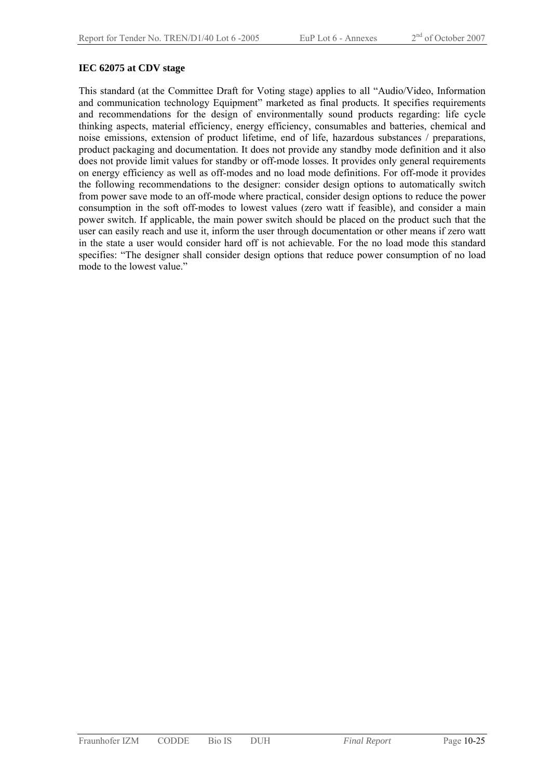#### **IEC 62075 at CDV stage**

This standard (at the Committee Draft for Voting stage) applies to all "Audio/Video, Information and communication technology Equipment" marketed as final products. It specifies requirements and recommendations for the design of environmentally sound products regarding: life cycle thinking aspects, material efficiency, energy efficiency, consumables and batteries, chemical and noise emissions, extension of product lifetime, end of life, hazardous substances / preparations, product packaging and documentation. It does not provide any standby mode definition and it also does not provide limit values for standby or off-mode losses. It provides only general requirements on energy efficiency as well as off-modes and no load mode definitions. For off-mode it provides the following recommendations to the designer: consider design options to automatically switch from power save mode to an off-mode where practical, consider design options to reduce the power consumption in the soft off-modes to lowest values (zero watt if feasible), and consider a main power switch. If applicable, the main power switch should be placed on the product such that the user can easily reach and use it, inform the user through documentation or other means if zero watt in the state a user would consider hard off is not achievable. For the no load mode this standard specifies: "The designer shall consider design options that reduce power consumption of no load mode to the lowest value."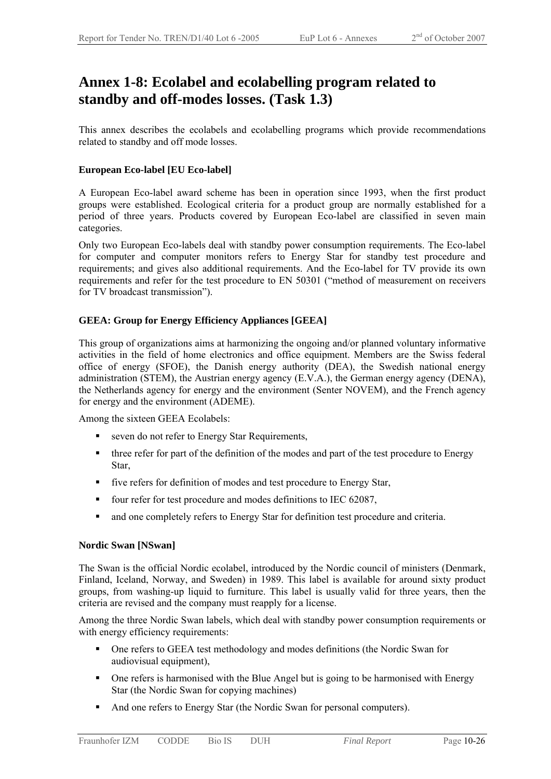### **Annex 1-8: Ecolabel and ecolabelling program related to standby and off-modes losses. (Task 1.3)**

This annex describes the ecolabels and ecolabelling programs which provide recommendations related to standby and off mode losses.

#### **European Eco-label [EU Eco-label]**

A European Eco-label award scheme has been in operation since 1993, when the first product groups were established. Ecological criteria for a product group are normally established for a period of three years. Products covered by European Eco-label are classified in seven main categories.

Only two European Eco-labels deal with standby power consumption requirements. The Eco-label for computer and computer monitors refers to Energy Star for standby test procedure and requirements; and gives also additional requirements. And the Eco-label for TV provide its own requirements and refer for the test procedure to EN 50301 ("method of measurement on receivers for TV broadcast transmission").

#### **GEEA: Group for Energy Efficiency Appliances [GEEA]**

This group of organizations aims at harmonizing the ongoing and/or planned voluntary informative activities in the field of home electronics and office equipment. Members are the Swiss federal office of energy (SFOE), the Danish energy authority (DEA), the Swedish national energy administration (STEM), the Austrian energy agency (E.V.A.), the German energy agency (DENA), the Netherlands agency for energy and the environment (Senter NOVEM), and the French agency for energy and the environment (ADEME).

Among the sixteen GEEA Ecolabels:

- seven do not refer to Energy Star Requirements,
- three refer for part of the definition of the modes and part of the test procedure to Energy Star,
- five refers for definition of modes and test procedure to Energy Star,
- four refer for test procedure and modes definitions to IEC 62087,
- and one completely refers to Energy Star for definition test procedure and criteria.

#### **Nordic Swan [NSwan]**

The Swan is the official Nordic ecolabel, introduced by the Nordic council of ministers (Denmark, Finland, Iceland, Norway, and Sweden) in 1989. This label is available for around sixty product groups, from washing-up liquid to furniture. This label is usually valid for three years, then the criteria are revised and the company must reapply for a license.

Among the three Nordic Swan labels, which deal with standby power consumption requirements or with energy efficiency requirements:

- One refers to GEEA test methodology and modes definitions (the Nordic Swan for audiovisual equipment),
- One refers is harmonised with the Blue Angel but is going to be harmonised with Energy Star (the Nordic Swan for copying machines)
- And one refers to Energy Star (the Nordic Swan for personal computers).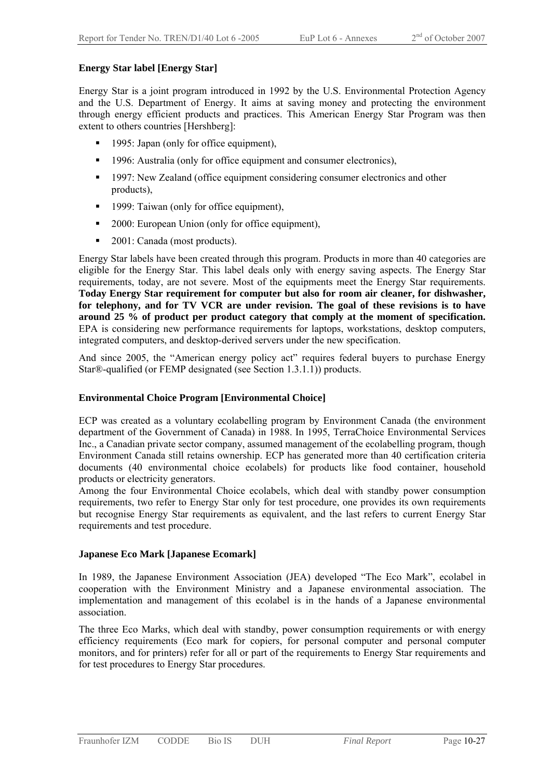#### **Energy Star label [Energy Star]**

Energy Star is a joint program introduced in 1992 by the U.S. Environmental Protection Agency and the U.S. Department of Energy. It aims at saving money and protecting the environment through energy efficient products and practices. This American Energy Star Program was then extent to others countries [Hershberg]:

- 1995: Japan (only for office equipment),
- <sup>1996</sup>: Australia (only for office equipment and consumer electronics),
- <sup>1997:</sup> New Zealand (office equipment considering consumer electronics and other products),
- **1999:** Taiwan (only for office equipment),
- 2000: European Union (only for office equipment),
- 2001: Canada (most products).

Energy Star labels have been created through this program. Products in more than 40 categories are eligible for the Energy Star. This label deals only with energy saving aspects. The Energy Star requirements, today, are not severe. Most of the equipments meet the Energy Star requirements. **Today Energy Star requirement for computer but also for room air cleaner, for dishwasher, for telephony, and for TV VCR are under revision. The goal of these revisions is to have around 25 % of product per product category that comply at the moment of specification.**  EPA is considering new performance requirements for laptops, workstations, desktop computers, integrated computers, and desktop-derived servers under the new specification.

And since 2005, the "American energy policy act" requires federal buyers to purchase Energy Star®-qualified (or FEMP designated (see Section 1.3.1.1)) products.

#### **Environmental Choice Program [Environmental Choice]**

ECP was created as a voluntary ecolabelling program by Environment Canada (the environment department of the Government of Canada) in 1988. In 1995, TerraChoice Environmental Services Inc., a Canadian private sector company, assumed management of the ecolabelling program, though Environment Canada still retains ownership. ECP has generated more than 40 certification criteria documents (40 environmental choice ecolabels) for products like food container, household products or electricity generators.

Among the four Environmental Choice ecolabels, which deal with standby power consumption requirements, two refer to Energy Star only for test procedure, one provides its own requirements but recognise Energy Star requirements as equivalent, and the last refers to current Energy Star requirements and test procedure.

#### **Japanese Eco Mark [Japanese Ecomark]**

In 1989, the Japanese Environment Association (JEA) developed "The Eco Mark", ecolabel in cooperation with the Environment Ministry and a Japanese environmental association. The implementation and management of this ecolabel is in the hands of a Japanese environmental association.

The three Eco Marks, which deal with standby, power consumption requirements or with energy efficiency requirements (Eco mark for copiers, for personal computer and personal computer monitors, and for printers) refer for all or part of the requirements to Energy Star requirements and for test procedures to Energy Star procedures.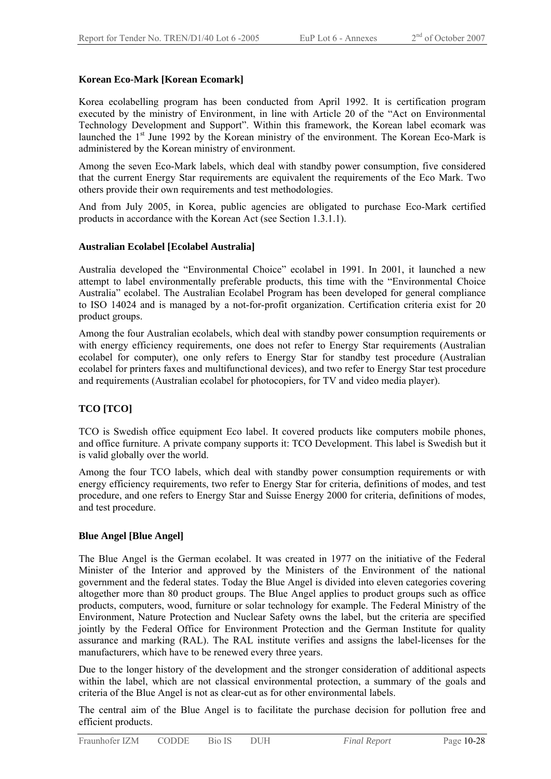#### **Korean Eco-Mark [Korean Ecomark]**

Korea ecolabelling program has been conducted from April 1992. It is certification program executed by the ministry of Environment, in line with Article 20 of the "Act on Environmental Technology Development and Support". Within this framework, the Korean label ecomark was launched the 1<sup>st</sup> June 1992 by the Korean ministry of the environment. The Korean Eco-Mark is administered by the Korean ministry of environment.

Among the seven Eco-Mark labels, which deal with standby power consumption, five considered that the current Energy Star requirements are equivalent the requirements of the Eco Mark. Two others provide their own requirements and test methodologies.

And from July 2005, in Korea, public agencies are obligated to purchase Eco-Mark certified products in accordance with the Korean Act (see Section 1.3.1.1).

#### **Australian Ecolabel [Ecolabel Australia]**

Australia developed the "Environmental Choice" ecolabel in 1991. In 2001, it launched a new attempt to label environmentally preferable products, this time with the "Environmental Choice Australia" ecolabel. The Australian Ecolabel Program has been developed for general compliance to ISO 14024 and is managed by a not-for-profit organization. Certification criteria exist for 20 product groups.

Among the four Australian ecolabels, which deal with standby power consumption requirements or with energy efficiency requirements, one does not refer to Energy Star requirements (Australian ecolabel for computer), one only refers to Energy Star for standby test procedure (Australian ecolabel for printers faxes and multifunctional devices), and two refer to Energy Star test procedure and requirements (Australian ecolabel for photocopiers, for TV and video media player).

#### **TCO [TCO]**

TCO is Swedish office equipment Eco label. It covered products like computers mobile phones, and office furniture. A private company supports it: TCO Development. This label is Swedish but it is valid globally over the world.

Among the four TCO labels, which deal with standby power consumption requirements or with energy efficiency requirements, two refer to Energy Star for criteria, definitions of modes, and test procedure, and one refers to Energy Star and Suisse Energy 2000 for criteria, definitions of modes, and test procedure.

#### **Blue Angel [Blue Angel]**

The Blue Angel is the German ecolabel. It was created in 1977 on the initiative of the Federal Minister of the Interior and approved by the Ministers of the Environment of the national government and the federal states. Today the Blue Angel is divided into eleven categories covering altogether more than 80 product groups. The Blue Angel applies to product groups such as office products, computers, wood, furniture or solar technology for example. The Federal Ministry of the Environment, Nature Protection and Nuclear Safety owns the label, but the criteria are specified jointly by the Federal Office for Environment Protection and the German Institute for quality assurance and marking (RAL). The RAL institute verifies and assigns the label-licenses for the manufacturers, which have to be renewed every three years.

Due to the longer history of the development and the stronger consideration of additional aspects within the label, which are not classical environmental protection, a summary of the goals and criteria of the Blue Angel is not as clear-cut as for other environmental labels.

The central aim of the Blue Angel is to facilitate the purchase decision for pollution free and efficient products.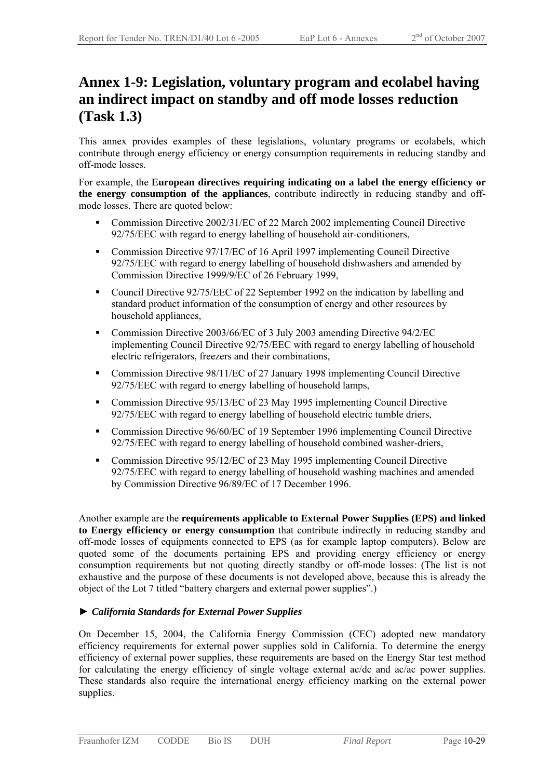### **Annex 1-9: Legislation, voluntary program and ecolabel having an indirect impact on standby and off mode losses reduction (Task 1.3)**

This annex provides examples of these legislations, voluntary programs or ecolabels, which contribute through energy efficiency or energy consumption requirements in reducing standby and off-mode losses.

For example, the **European directives requiring indicating on a label the energy efficiency or the energy consumption of the appliances**, contribute indirectly in reducing standby and offmode losses. There are quoted below:

- Commission Directive 2002/31/EC of 22 March 2002 implementing Council Directive 92/75/EEC with regard to energy labelling of household air-conditioners,
- Commission Directive 97/17/EC of 16 April 1997 implementing Council Directive 92/75/EEC with regard to energy labelling of household dishwashers and amended by Commission Directive 1999/9/EC of 26 February 1999,
- Council Directive 92/75/EEC of 22 September 1992 on the indication by labelling and standard product information of the consumption of energy and other resources by household appliances,
- Commission Directive 2003/66/EC of 3 July 2003 amending Directive 94/2/EC implementing Council Directive 92/75/EEC with regard to energy labelling of household electric refrigerators, freezers and their combinations,
- Commission Directive 98/11/EC of 27 January 1998 implementing Council Directive 92/75/EEC with regard to energy labelling of household lamps,
- Commission Directive 95/13/EC of 23 May 1995 implementing Council Directive 92/75/EEC with regard to energy labelling of household electric tumble driers,
- Commission Directive 96/60/EC of 19 September 1996 implementing Council Directive 92/75/EEC with regard to energy labelling of household combined washer-driers,
- Commission Directive 95/12/EC of 23 May 1995 implementing Council Directive 92/75/EEC with regard to energy labelling of household washing machines and amended by Commission Directive 96/89/EC of 17 December 1996.

Another example are the **requirements applicable to External Power Supplies (EPS) and linked to Energy efficiency or energy consumption** that contribute indirectly in reducing standby and off-mode losses of equipments connected to EPS (as for example laptop computers). Below are quoted some of the documents pertaining EPS and providing energy efficiency or energy consumption requirements but not quoting directly standby or off-mode losses: (The list is not exhaustive and the purpose of these documents is not developed above, because this is already the object of the Lot 7 titled "battery chargers and external power supplies".)

#### ► *California Standards for External Power Supplies*

On December 15, 2004, the California Energy Commission (CEC) adopted new mandatory efficiency requirements for external power supplies sold in California. To determine the energy efficiency of external power supplies, these requirements are based on the Energy Star test method for calculating the energy efficiency of single voltage external ac/dc and ac/ac power supplies. These standards also require the international energy efficiency marking on the external power supplies.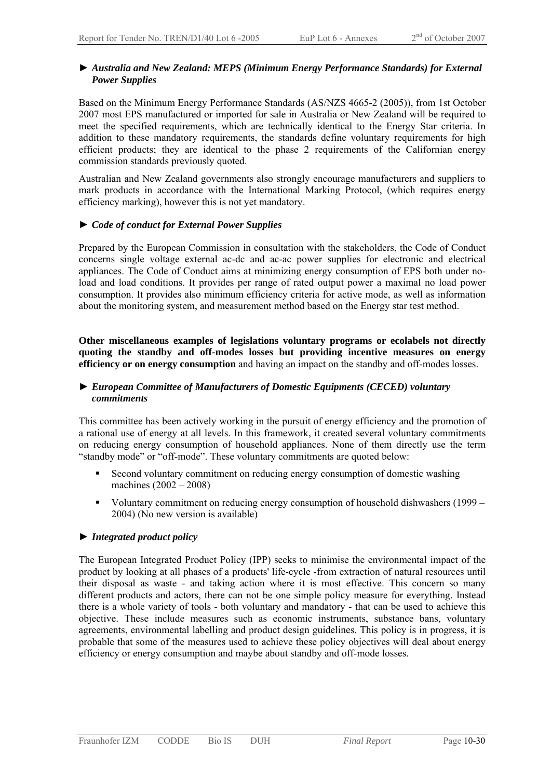#### ► *Australia and New Zealand: MEPS (Minimum Energy Performance Standards) for External Power Supplies*

Based on the Minimum Energy Performance Standards (AS/NZS 4665-2 (2005)), from 1st October 2007 most EPS manufactured or imported for sale in Australia or New Zealand will be required to meet the specified requirements, which are technically identical to the Energy Star criteria. In addition to these mandatory requirements, the standards define voluntary requirements for high efficient products; they are identical to the phase 2 requirements of the Californian energy commission standards previously quoted.

Australian and New Zealand governments also strongly encourage manufacturers and suppliers to mark products in accordance with the International Marking Protocol, (which requires energy efficiency marking), however this is not yet mandatory.

#### ► *Code of conduct for External Power Supplies*

Prepared by the European Commission in consultation with the stakeholders, the Code of Conduct concerns single voltage external ac-dc and ac-ac power supplies for electronic and electrical appliances. The Code of Conduct aims at minimizing energy consumption of EPS both under noload and load conditions. It provides per range of rated output power a maximal no load power consumption. It provides also minimum efficiency criteria for active mode, as well as information about the monitoring system, and measurement method based on the Energy star test method.

**Other miscellaneous examples of legislations voluntary programs or ecolabels not directly quoting the standby and off-modes losses but providing incentive measures on energy efficiency or on energy consumption** and having an impact on the standby and off-modes losses.

#### ► *European Committee of Manufacturers of Domestic Equipments (CECED) voluntary commitments*

This committee has been actively working in the pursuit of energy efficiency and the promotion of a rational use of energy at all levels. In this framework, it created several voluntary commitments on reducing energy consumption of household appliances. None of them directly use the term "standby mode" or "off-mode". These voluntary commitments are quoted below:

- Second voluntary commitment on reducing energy consumption of domestic washing machines (2002 – 2008)
- Voluntary commitment on reducing energy consumption of household dishwashers (1999 2004) (No new version is available)

#### ► *Integrated product policy*

The European Integrated Product Policy (IPP) seeks to minimise the environmental impact of the product by looking at all phases of a products' life-cycle -from extraction of natural resources until their disposal as waste - and taking action where it is most effective. This concern so many different products and actors, there can not be one simple policy measure for everything. Instead there is a whole variety of tools - both voluntary and mandatory - that can be used to achieve this objective. These include measures such as economic instruments, substance bans, voluntary agreements, environmental labelling and product design guidelines. This policy is in progress, it is probable that some of the measures used to achieve these policy objectives will deal about energy efficiency or energy consumption and maybe about standby and off-mode losses.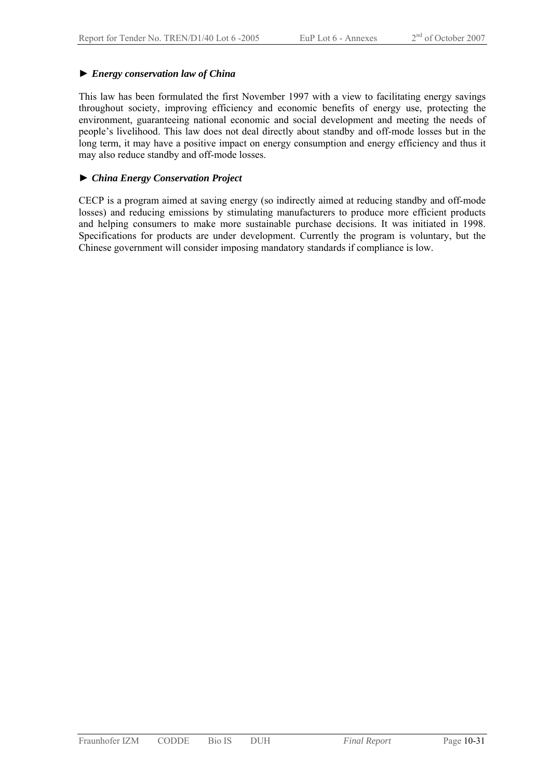#### ► *Energy conservation law of China*

This law has been formulated the first November 1997 with a view to facilitating energy savings throughout society, improving efficiency and economic benefits of energy use, protecting the environment, guaranteeing national economic and social development and meeting the needs of people's livelihood. This law does not deal directly about standby and off-mode losses but in the long term, it may have a positive impact on energy consumption and energy efficiency and thus it may also reduce standby and off-mode losses.

#### ► *China Energy Conservation Project*

CECP is a program aimed at saving energy (so indirectly aimed at reducing standby and off-mode losses) and reducing emissions by stimulating manufacturers to produce more efficient products and helping consumers to make more sustainable purchase decisions. It was initiated in 1998. Specifications for products are under development. Currently the program is voluntary, but the Chinese government will consider imposing mandatory standards if compliance is low.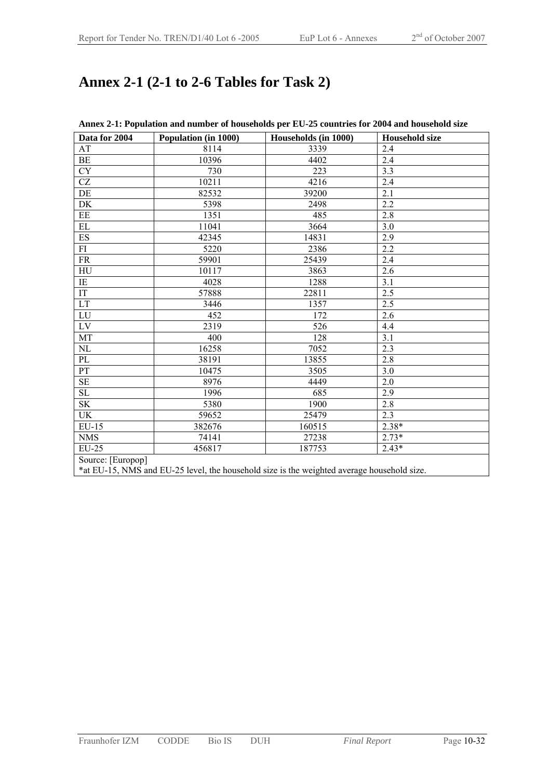## **Annex 2-1 (2-1 to 2-6 Tables for Task 2)**

| Data for 2004              | Population (in 1000) | Households (in 1000)                                                                       | <b>Household size</b> |
|----------------------------|----------------------|--------------------------------------------------------------------------------------------|-----------------------|
| AT                         | 8114                 | 3339                                                                                       | 2.4                   |
| BE                         | 10396                | 4402                                                                                       | 2.4                   |
| <b>CY</b>                  | 730                  | 223                                                                                        | 3.3                   |
| CZ                         | 10211                | 4216                                                                                       | 2.4                   |
| DE                         | 82532                | 39200                                                                                      | 2.1                   |
| DK                         | 5398                 | 2498                                                                                       | 2.2                   |
| EE                         | 1351                 | 485                                                                                        | 2.8                   |
| EL                         | 11041                | 3664                                                                                       | 3.0                   |
| ES                         | 42345                | 14831                                                                                      | 2.9                   |
| FI                         | 5220                 | 2386                                                                                       | 2.2                   |
| <b>FR</b>                  | 59901                | 25439                                                                                      | 2.4                   |
| HU                         | 10117                | 3863                                                                                       | 2.6                   |
| IE                         | 4028                 | 1288                                                                                       | 3.1                   |
| IT                         | 57888                | 22811                                                                                      | 2.5                   |
| $\mathop{\rm LT}\nolimits$ | 3446                 | 1357                                                                                       | 2.5                   |
| LU                         | 452                  | 172                                                                                        | 2.6                   |
| LV                         | 2319                 | 526                                                                                        | 4.4                   |
| MT                         | 400                  | 128                                                                                        | 3.1                   |
| NL                         | 16258                | 7052                                                                                       | 2.3                   |
| PL                         | 38191                | 13855                                                                                      | 2.8                   |
| PT                         | 10475                | 3505                                                                                       | 3.0                   |
| <b>SE</b>                  | 8976                 | 4449                                                                                       | 2.0                   |
| <b>SL</b>                  | 1996                 | 685                                                                                        | 2.9                   |
| <b>SK</b>                  | 5380                 | 1900                                                                                       | 2.8                   |
| UK                         | 59652                | 25479                                                                                      | 2.3                   |
| EU-15                      | 382676               | 160515                                                                                     | $2.38*$               |
| <b>NMS</b>                 | 74141                | 27238                                                                                      | $2.73*$               |
| EU-25                      | 456817               | 187753                                                                                     | $2.43*$               |
| Source: [Europop]          |                      |                                                                                            |                       |
|                            |                      | *at EU-15, NMS and EU-25 level, the household size is the weighted average household size. |                       |

#### **Annex 2-1: Population and number of households per EU-25 countries for 2004 and household size**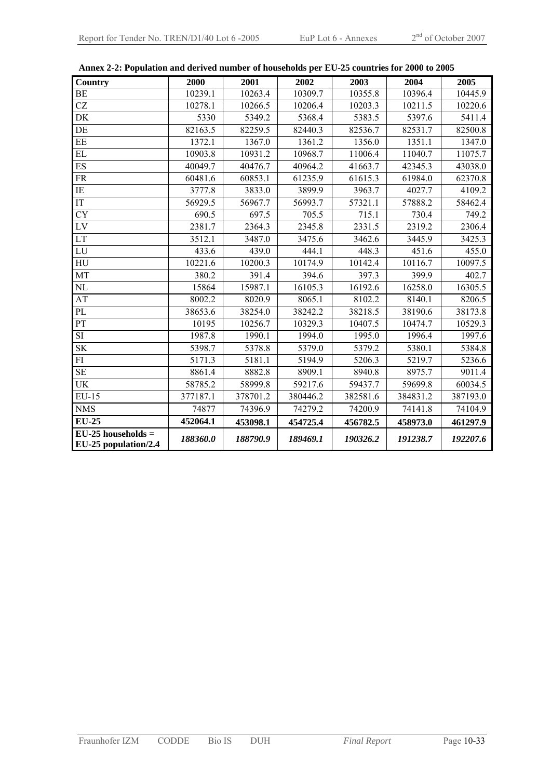| <b>Country</b>                               | 2000     | 2001     | 2002     | 2003     | 2004     | 2005     |
|----------------------------------------------|----------|----------|----------|----------|----------|----------|
| <b>BE</b>                                    | 10239.1  | 10263.4  | 10309.7  | 10355.8  | 10396.4  | 10445.9  |
| <b>CZ</b>                                    | 10278.1  | 10266.5  | 10206.4  | 10203.3  | 10211.5  | 10220.6  |
| DK                                           | 5330     | 5349.2   | 5368.4   | 5383.5   | 5397.6   | 5411.4   |
| DE                                           | 82163.5  | 82259.5  | 82440.3  | 82536.7  | 82531.7  | 82500.8  |
| EE                                           | 1372.1   | 1367.0   | 1361.2   | 1356.0   | 1351.1   | 1347.0   |
| EL                                           | 10903.8  | 10931.2  | 10968.7  | 11006.4  | 11040.7  | 11075.7  |
| ES                                           | 40049.7  | 40476.7  | 40964.2  | 41663.7  | 42345.3  | 43038.0  |
| <b>FR</b>                                    | 60481.6  | 60853.1  | 61235.9  | 61615.3  | 61984.0  | 62370.8  |
| IE                                           | 3777.8   | 3833.0   | 3899.9   | 3963.7   | 4027.7   | 4109.2   |
| $\overline{\text{IT}}$                       | 56929.5  | 56967.7  | 56993.7  | 57321.1  | 57888.2  | 58462.4  |
| <b>CY</b>                                    | 690.5    | 697.5    | 705.5    | 715.1    | 730.4    | 749.2    |
| $\overline{LV}$                              | 2381.7   | 2364.3   | 2345.8   | 2331.5   | 2319.2   | 2306.4   |
| LT                                           | 3512.1   | 3487.0   | 3475.6   | 3462.6   | 3445.9   | 3425.3   |
| $\overline{LU}$                              | 433.6    | 439.0    | 444.1    | 448.3    | 451.6    | 455.0    |
| ${\rm H}{\rm U}$                             | 10221.6  | 10200.3  | 10174.9  | 10142.4  | 10116.7  | 10097.5  |
| MT                                           | 380.2    | 391.4    | 394.6    | 397.3    | 399.9    | 402.7    |
| NL                                           | 15864    | 15987.1  | 16105.3  | 16192.6  | 16258.0  | 16305.5  |
| AT                                           | 8002.2   | 8020.9   | 8065.1   | 8102.2   | 8140.1   | 8206.5   |
| PL                                           | 38653.6  | 38254.0  | 38242.2  | 38218.5  | 38190.6  | 38173.8  |
| PT                                           | 10195    | 10256.7  | 10329.3  | 10407.5  | 10474.7  | 10529.3  |
| SI                                           | 1987.8   | 1990.1   | 1994.0   | 1995.0   | 1996.4   | 1997.6   |
| <b>SK</b>                                    | 5398.7   | 5378.8   | 5379.0   | 5379.2   | 5380.1   | 5384.8   |
| FI                                           | 5171.3   | 5181.1   | 5194.9   | 5206.3   | 5219.7   | 5236.6   |
| <b>SE</b>                                    | 8861.4   | 8882.8   | 8909.1   | 8940.8   | 8975.7   | 9011.4   |
| <b>UK</b>                                    | 58785.2  | 58999.8  | 59217.6  | 59437.7  | 59699.8  | 60034.5  |
| $EU-15$                                      | 377187.1 | 378701.2 | 380446.2 | 382581.6 | 384831.2 | 387193.0 |
| <b>NMS</b>                                   | 74877    | 74396.9  | 74279.2  | 74200.9  | 74141.8  | 74104.9  |
| $EU-25$                                      | 452064.1 | 453098.1 | 454725.4 | 456782.5 | 458973.0 | 461297.9 |
| $EU-25$ households =<br>EU-25 population/2.4 | 188360.0 | 188790.9 | 189469.1 | 190326.2 | 191238.7 | 192207.6 |

**Annex 2-2: Population and derived number of households per EU-25 countries for 2000 to 2005**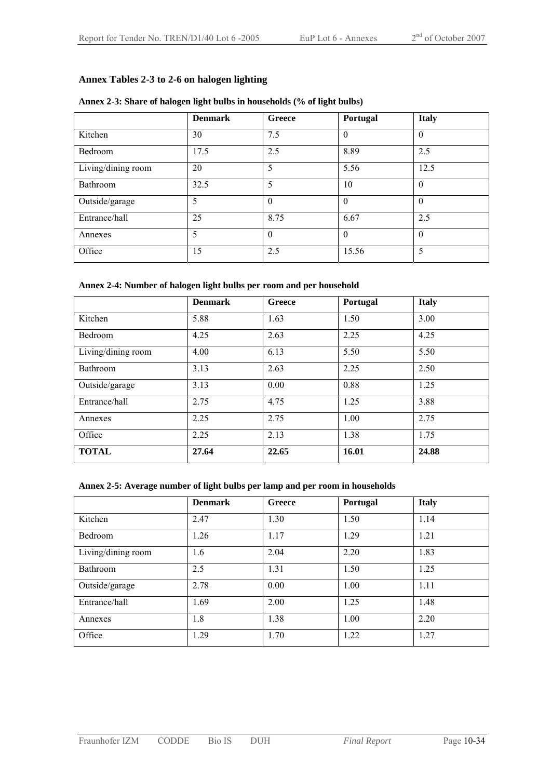#### **Annex Tables 2-3 to 2-6 on halogen lighting**

|                    | <b>Denmark</b> | Greece   | Portugal | <b>Italy</b> |
|--------------------|----------------|----------|----------|--------------|
| Kitchen            | 30             | 7.5      | $\Omega$ | $\theta$     |
| Bedroom            | 17.5           | 2.5      | 8.89     | 2.5          |
| Living/dining room | 20             | 5        | 5.56     | 12.5         |
| Bathroom           | 32.5           | 5        | 10       | $\theta$     |
| Outside/garage     | 5              | $\Omega$ | $\Omega$ | $\theta$     |
| Entrance/hall      | 25             | 8.75     | 6.67     | 2.5          |
| Annexes            | 5              | $\Omega$ | $\Omega$ | $\theta$     |
| Office             | 15             | 2.5      | 15.56    | 5            |

#### **Annex 2-3: Share of halogen light bulbs in households (% of light bulbs)**

#### **Annex 2-4: Number of halogen light bulbs per room and per household**

|                    | <b>Denmark</b> | Greece | Portugal | <b>Italy</b> |
|--------------------|----------------|--------|----------|--------------|
| Kitchen            | 5.88           | 1.63   | 1.50     | 3.00         |
| Bedroom            | 4.25           | 2.63   | 2.25     | 4.25         |
| Living/dining room | 4.00           | 6.13   | 5.50     | 5.50         |
| Bathroom           | 3.13           | 2.63   | 2.25     | 2.50         |
| Outside/garage     | 3.13           | 0.00   | 0.88     | 1.25         |
| Entrance/hall      | 2.75           | 4.75   | 1.25     | 3.88         |
| Annexes            | 2.25           | 2.75   | 1.00     | 2.75         |
| Office             | 2.25           | 2.13   | 1.38     | 1.75         |
| <b>TOTAL</b>       | 27.64          | 22.65  | 16.01    | 24.88        |

#### **Annex 2-5: Average number of light bulbs per lamp and per room in households**

|                    | <b>Denmark</b> | Greece | Portugal | <b>Italy</b> |
|--------------------|----------------|--------|----------|--------------|
| Kitchen            | 2.47           | 1.30   | 1.50     | 1.14         |
| Bedroom            | 1.26           | 1.17   | 1.29     | 1.21         |
| Living/dining room | 1.6            | 2.04   | 2.20     | 1.83         |
| Bathroom           | 2.5            | 1.31   | 1.50     | 1.25         |
| Outside/garage     | 2.78           | 0.00   | 1.00     | 1.11         |
| Entrance/hall      | 1.69           | 2.00   | 1.25     | 1.48         |
| Annexes            | 1.8            | 1.38   | 1.00     | 2.20         |
| Office             | 1.29           | 1.70   | 1.22     | 1.27         |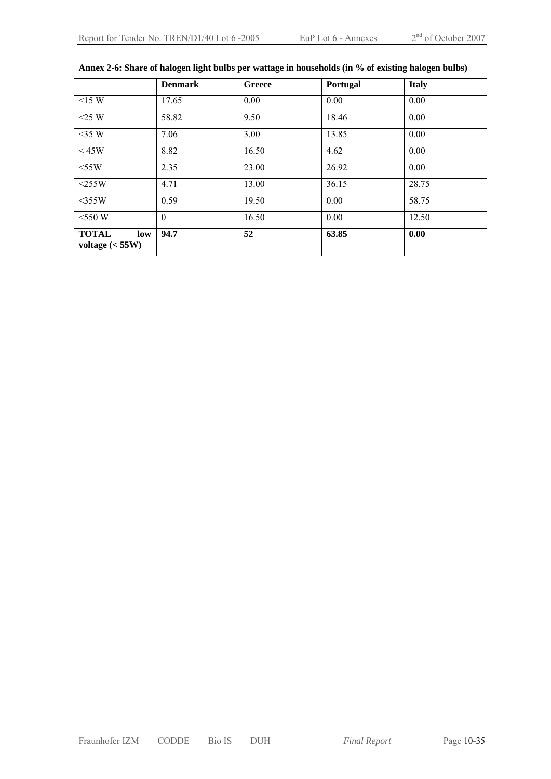|                                         | <b>Denmark</b>   | Greece | Portugal | <b>Italy</b> |
|-----------------------------------------|------------------|--------|----------|--------------|
| $<15$ W                                 | 17.65            | 0.00   | 0.00     | 0.00         |
| $<$ 25 W                                | 58.82            | 9.50   | 18.46    | 0.00         |
| $<$ 35 W                                | 7.06             | 3.00   | 13.85    | 0.00         |
| $<$ 45W                                 | 8.82             | 16.50  | 4.62     | 0.00         |
| $<$ 55W                                 | 2.35             | 23.00  | 26.92    | 0.00         |
| $<$ 255W                                | 4.71             | 13.00  | 36.15    | 28.75        |
| $<$ 355W                                | 0.59             | 19.50  | 0.00     | 58.75        |
| $<$ 550 W                               | $\boldsymbol{0}$ | 16.50  | 0.00     | 12.50        |
| <b>TOTAL</b><br>low<br>voltage $(<55W)$ | 94.7             | 52     | 63.85    | 0.00         |

#### **Annex 2-6: Share of halogen light bulbs per wattage in households (in % of existing halogen bulbs)**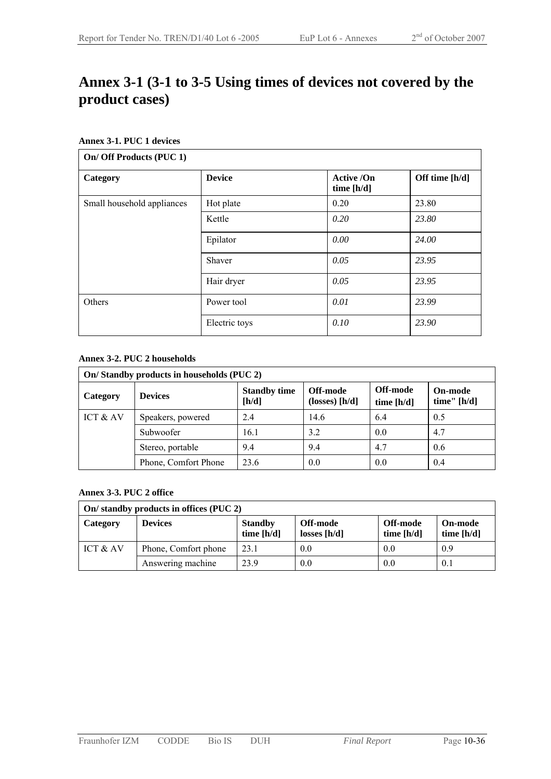## **Annex 3-1 (3-1 to 3-5 Using times of devices not covered by the product cases)**

#### **Annex 3-1. PUC 1 devices**

| On/ Off Products (PUC 1)   |               |                                   |                |  |  |
|----------------------------|---------------|-----------------------------------|----------------|--|--|
| Category                   | <b>Device</b> | <b>Active /On</b><br>time $[h/d]$ | Off time [h/d] |  |  |
| Small household appliances | Hot plate     | 0.20                              | 23.80          |  |  |
|                            | Kettle        | 0.20                              | 23.80          |  |  |
|                            | Epilator      | 0.00                              | 24.00          |  |  |
|                            | Shaver        | 0.05                              | 23.95          |  |  |
|                            | Hair dryer    | 0.05                              | 23.95          |  |  |
| Others                     | Power tool    | 0.01                              | 23.99          |  |  |
|                            | Electric toys | 0.10                              | 23.90          |  |  |

#### **Annex 3-2. PUC 2 households**

| On/Standby products in households (PUC 2) |                      |                              |                                            |                        |                                 |  |
|-------------------------------------------|----------------------|------------------------------|--------------------------------------------|------------------------|---------------------------------|--|
| Category                                  | <b>Devices</b>       | <b>Standby time</b><br>[h/d] | Off-mode<br>$(\text{losses}) [\text{h/d}]$ | Off-mode<br>time [h/d] | <b>On-mode</b><br>time" $[h/d]$ |  |
| ICT & AV                                  | Speakers, powered    | 2.4                          | 14.6                                       | 6.4                    | 0.5                             |  |
|                                           | Subwoofer            | 16.1                         | 3.2                                        | 0.0                    | 4.7                             |  |
|                                           | Stereo, portable     | 9.4                          | 9.4                                        | 4.7                    | 0.6                             |  |
|                                           | Phone, Comfort Phone | 23.6                         | 0.0                                        | 0.0                    | 0.4                             |  |

#### **Annex 3-3. PUC 2 office**

| On/ standby products in offices (PUC 2) |                      |                                |                            |                          |                                |  |
|-----------------------------------------|----------------------|--------------------------------|----------------------------|--------------------------|--------------------------------|--|
| Category                                | <b>Devices</b>       | <b>Standby</b><br>time $[h/d]$ | Off-mode<br>losses $[h/d]$ | Off-mode<br>time $[h/d]$ | <b>On-mode</b><br>time $[h/d]$ |  |
| ICT & AV                                | Phone, Comfort phone | 23.1                           | 0.0                        | 0.0                      | 0.9                            |  |
|                                         | Answering machine    | 23.9                           | 0.0                        | 0.0                      | 0.1                            |  |